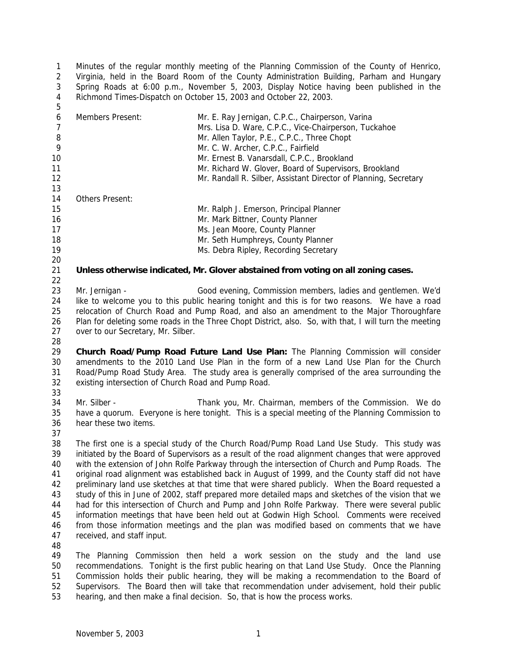Minutes of the regular monthly meeting of the Planning Commission of the County of Henrico, Virginia, held in the Board Room of the County Administration Building, Parham and Hungary Spring Roads at 6:00 p.m., November 5, 2003, Display Notice having been published in the Richmond Times-Dispatch on October 15, 2003 and October 22, 2003. 

| 6      | Mr. E. Ray Jernigan, C.P.C., Chairperson, Varina<br>Members Present: |                                                                  |  |  |  |  |  |  |
|--------|----------------------------------------------------------------------|------------------------------------------------------------------|--|--|--|--|--|--|
|        | Mrs. Lisa D. Ware, C.P.C., Vice-Chairperson, Tuckahoe                |                                                                  |  |  |  |  |  |  |
| 8      |                                                                      | Mr. Allen Taylor, P.E., C.P.C., Three Chopt                      |  |  |  |  |  |  |
| 9      |                                                                      | Mr. C. W. Archer, C.P.C., Fairfield                              |  |  |  |  |  |  |
| 10     | Mr. Ernest B. Vanarsdall, C.P.C., Brookland                          |                                                                  |  |  |  |  |  |  |
| 11     | Mr. Richard W. Glover, Board of Supervisors, Brookland               |                                                                  |  |  |  |  |  |  |
| 12     |                                                                      | Mr. Randall R. Silber, Assistant Director of Planning, Secretary |  |  |  |  |  |  |
| 13     |                                                                      |                                                                  |  |  |  |  |  |  |
| 14     | <b>Others Present:</b>                                               |                                                                  |  |  |  |  |  |  |
| 15     |                                                                      | Mr. Ralph J. Emerson, Principal Planner                          |  |  |  |  |  |  |
| 16     | Mr. Mark Bittner, County Planner                                     |                                                                  |  |  |  |  |  |  |
| 17     | Ms. Jean Moore, County Planner                                       |                                                                  |  |  |  |  |  |  |
| 18     |                                                                      | Mr. Seth Humphreys, County Planner                               |  |  |  |  |  |  |
| 19     |                                                                      | Ms. Debra Ripley, Recording Secretary                            |  |  |  |  |  |  |
| 20     |                                                                      |                                                                  |  |  |  |  |  |  |
| $\sim$ |                                                                      |                                                                  |  |  |  |  |  |  |

**Unless otherwise indicated, Mr. Glover abstained from voting on all zoning cases.**

 Mr. Jernigan - Good evening, Commission members, ladies and gentlemen. We'd like to welcome you to this public hearing tonight and this is for two reasons. We have a road relocation of Church Road and Pump Road, and also an amendment to the Major Thoroughfare 26 Plan for deleting some roads in the Three Chopt District, also. So, with that, I will turn the meeting over to our Secretary, Mr. Silber.

 **Church Road/Pump Road Future Land Use Plan:** The Planning Commission will consider amendments to the 2010 Land Use Plan in the form of a new Land Use Plan for the Church Road/Pump Road Study Area. The study area is generally comprised of the area surrounding the existing intersection of Church Road and Pump Road. 

 Mr. Silber - Thank you, Mr. Chairman, members of the Commission. We do have a quorum. Everyone is here tonight. This is a special meeting of the Planning Commission to hear these two items.

 The first one is a special study of the Church Road/Pump Road Land Use Study. This study was initiated by the Board of Supervisors as a result of the road alignment changes that were approved with the extension of John Rolfe Parkway through the intersection of Church and Pump Roads. The original road alignment was established back in August of 1999, and the County staff did not have preliminary land use sketches at that time that were shared publicly. When the Board requested a study of this in June of 2002, staff prepared more detailed maps and sketches of the vision that we had for this intersection of Church and Pump and John Rolfe Parkway. There were several public information meetings that have been held out at Godwin High School. Comments were received from those information meetings and the plan was modified based on comments that we have received, and staff input.

 The Planning Commission then held a work session on the study and the land use recommendations. Tonight is the first public hearing on that Land Use Study. Once the Planning Commission holds their public hearing, they will be making a recommendation to the Board of Supervisors. The Board then will take that recommendation under advisement, hold their public hearing, and then make a final decision. So, that is how the process works.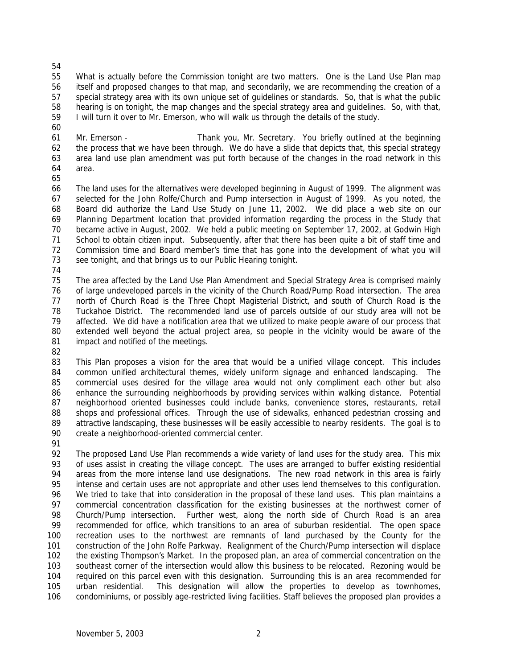What is actually before the Commission tonight are two matters. One is the Land Use Plan map itself and proposed changes to that map, and secondarily, we are recommending the creation of a special strategy area with its own unique set of guidelines or standards. So, that is what the public hearing is on tonight, the map changes and the special strategy area and guidelines. So, with that, I will turn it over to Mr. Emerson, who will walk us through the details of the study.

 Mr. Emerson - Thank you, Mr. Secretary. You briefly outlined at the beginning the process that we have been through. We do have a slide that depicts that, this special strategy area land use plan amendment was put forth because of the changes in the road network in this area.

 The land uses for the alternatives were developed beginning in August of 1999. The alignment was selected for the John Rolfe/Church and Pump intersection in August of 1999. As you noted, the Board did authorize the Land Use Study on June 11, 2002. We did place a web site on our Planning Department location that provided information regarding the process in the Study that became active in August, 2002. We held a public meeting on September 17, 2002, at Godwin High School to obtain citizen input. Subsequently, after that there has been quite a bit of staff time and Commission time and Board member's time that has gone into the development of what you will see tonight, and that brings us to our Public Hearing tonight.

 The area affected by the Land Use Plan Amendment and Special Strategy Area is comprised mainly of large undeveloped parcels in the vicinity of the Church Road/Pump Road intersection. The area north of Church Road is the Three Chopt Magisterial District, and south of Church Road is the Tuckahoe District. The recommended land use of parcels outside of our study area will not be affected. We did have a notification area that we utilized to make people aware of our process that extended well beyond the actual project area, so people in the vicinity would be aware of the impact and notified of the meetings.

83 This Plan proposes a vision for the area that would be a unified village concept. This includes common unified architectural themes, widely uniform signage and enhanced landscaping. The commercial uses desired for the village area would not only compliment each other but also enhance the surrounding neighborhoods by providing services within walking distance. Potential neighborhood oriented businesses could include banks, convenience stores, restaurants, retail shops and professional offices. Through the use of sidewalks, enhanced pedestrian crossing and attractive landscaping, these businesses will be easily accessible to nearby residents. The goal is to create a neighborhood-oriented commercial center.

 The proposed Land Use Plan recommends a wide variety of land uses for the study area. This mix 93 of uses assist in creating the village concept. The uses are arranged to buffer existing residential areas from the more intense land use designations. The new road network in this area is fairly intense and certain uses are not appropriate and other uses lend themselves to this configuration. We tried to take that into consideration in the proposal of these land uses. This plan maintains a commercial concentration classification for the existing businesses at the northwest corner of Church/Pump intersection. Further west, along the north side of Church Road is an area recommended for office, which transitions to an area of suburban residential. The open space recreation uses to the northwest are remnants of land purchased by the County for the construction of the John Rolfe Parkway. Realignment of the Church/Pump intersection will displace the existing Thompson's Market. In the proposed plan, an area of commercial concentration on the southeast corner of the intersection would allow this business to be relocated. Rezoning would be required on this parcel even with this designation. Surrounding this is an area recommended for urban residential. This designation will allow the properties to develop as townhomes, condominiums, or possibly age-restricted living facilities. Staff believes the proposed plan provides a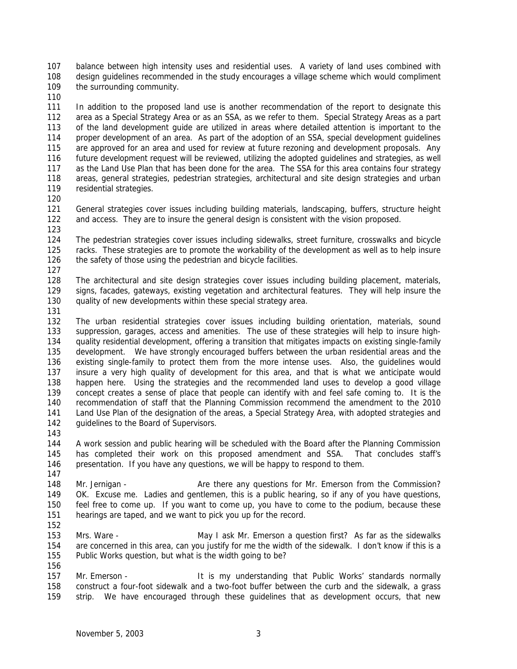balance between high intensity uses and residential uses. A variety of land uses combined with design guidelines recommended in the study encourages a village scheme which would compliment the surrounding community.

 In addition to the proposed land use is another recommendation of the report to designate this area as a Special Strategy Area or as an SSA, as we refer to them. Special Strategy Areas as a part of the land development guide are utilized in areas where detailed attention is important to the proper development of an area. As part of the adoption of an SSA, special development guidelines are approved for an area and used for review at future rezoning and development proposals. Any future development request will be reviewed, utilizing the adopted guidelines and strategies, as well as the Land Use Plan that has been done for the area. The SSA for this area contains four strategy areas, general strategies, pedestrian strategies, architectural and site design strategies and urban residential strategies.

 General strategies cover issues including building materials, landscaping, buffers, structure height and access. They are to insure the general design is consistent with the vision proposed. 

 The pedestrian strategies cover issues including sidewalks, street furniture, crosswalks and bicycle racks. These strategies are to promote the workability of the development as well as to help insure 126 the safety of those using the pedestrian and bicycle facilities.

 The architectural and site design strategies cover issues including building placement, materials, signs, facades, gateways, existing vegetation and architectural features. They will help insure the quality of new developments within these special strategy area.

 The urban residential strategies cover issues including building orientation, materials, sound suppression, garages, access and amenities. The use of these strategies will help to insure high- quality residential development, offering a transition that mitigates impacts on existing single-family development. We have strongly encouraged buffers between the urban residential areas and the existing single-family to protect them from the more intense uses. Also, the guidelines would insure a very high quality of development for this area, and that is what we anticipate would happen here. Using the strategies and the recommended land uses to develop a good village concept creates a sense of place that people can identify with and feel safe coming to. It is the recommendation of staff that the Planning Commission recommend the amendment to the 2010 Land Use Plan of the designation of the areas, a Special Strategy Area, with adopted strategies and 142 guidelines to the Board of Supervisors.

 A work session and public hearing will be scheduled with the Board after the Planning Commission has completed their work on this proposed amendment and SSA. That concludes staff's presentation. If you have any questions, we will be happy to respond to them. 

148 Mr. Jernigan - Are there any questions for Mr. Emerson from the Commission? OK. Excuse me. Ladies and gentlemen, this is a public hearing, so if any of you have questions, feel free to come up. If you want to come up, you have to come to the podium, because these hearings are taped, and we want to pick you up for the record.

 Mrs. Ware - May I ask Mr. Emerson a question first? As far as the sidewalks are concerned in this area, can you justify for me the width of the sidewalk. I don't know if this is a Public Works question, but what is the width going to be? 

157 Mr. Emerson - It is my understanding that Public Works' standards normally construct a four-foot sidewalk and a two-foot buffer between the curb and the sidewalk, a grass strip. We have encouraged through these guidelines that as development occurs, that new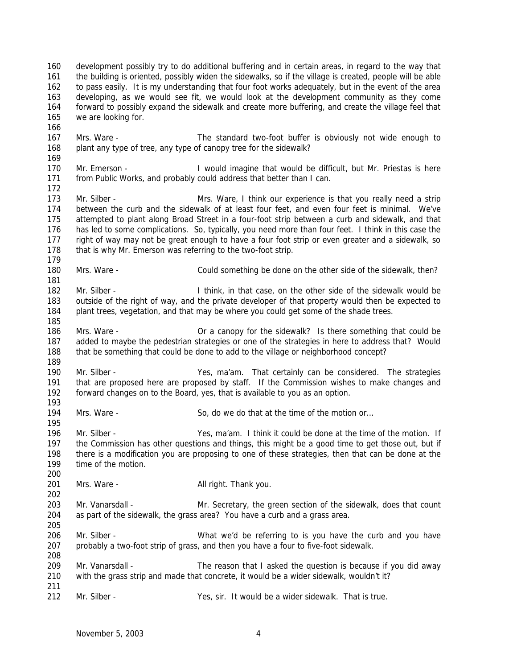development possibly try to do additional buffering and in certain areas, in regard to the way that the building is oriented, possibly widen the sidewalks, so if the village is created, people will be able to pass easily. It is my understanding that four foot works adequately, but in the event of the area developing, as we would see fit, we would look at the development community as they come forward to possibly expand the sidewalk and create more buffering, and create the village feel that we are looking for.

 Mrs. Ware - The standard two-foot buffer is obviously not wide enough to 168 plant any type of tree, any type of canopy tree for the sidewalk?

169<br>170 Mr. Emerson - **I** would imagine that would be difficult, but Mr. Priestas is here from Public Works, and probably could address that better than I can.

 Mr. Silber - Mrs. Ware, I think our experience is that you really need a strip between the curb and the sidewalk of at least four feet, and even four feet is minimal. We've attempted to plant along Broad Street in a four-foot strip between a curb and sidewalk, and that has led to some complications. So, typically, you need more than four feet. I think in this case the right of way may not be great enough to have a four foot strip or even greater and a sidewalk, so 178 that is why Mr. Emerson was referring to the two-foot strip.

Mrs. Ware - Could something be done on the other side of the sidewalk, then?

 Mr. Silber - I think, in that case, on the other side of the sidewalk would be outside of the right of way, and the private developer of that property would then be expected to plant trees, vegetation, and that may be where you could get some of the shade trees.

 Mrs. Ware - Or a canopy for the sidewalk? Is there something that could be added to maybe the pedestrian strategies or one of the strategies in here to address that? Would that be something that could be done to add to the village or neighborhood concept?

 Mr. Silber - Yes, ma'am. That certainly can be considered. The strategies that are proposed here are proposed by staff. If the Commission wishes to make changes and forward changes on to the Board, yes, that is available to you as an option.

194 Mrs. Ware - So, do we do that at the time of the motion or…

 Mr. Silber - Yes, ma'am. I think it could be done at the time of the motion. If the Commission has other questions and things, this might be a good time to get those out, but if there is a modification you are proposing to one of these strategies, then that can be done at the time of the motion.

201 Mrs. Ware - All right. Thank you.

203 Mr. Vanarsdall - Mr. Secretary, the green section of the sidewalk, does that count as part of the sidewalk, the grass area? You have a curb and a grass area. 

 Mr. Silber - What we'd be referring to is you have the curb and you have probably a two-foot strip of grass, and then you have a four to five-foot sidewalk.

 Mr. Vanarsdall - The reason that I asked the question is because if you did away with the grass strip and made that concrete, it would be a wider sidewalk, wouldn't it?

Mr. Silber - Yes, sir. It would be a wider sidewalk. That is true.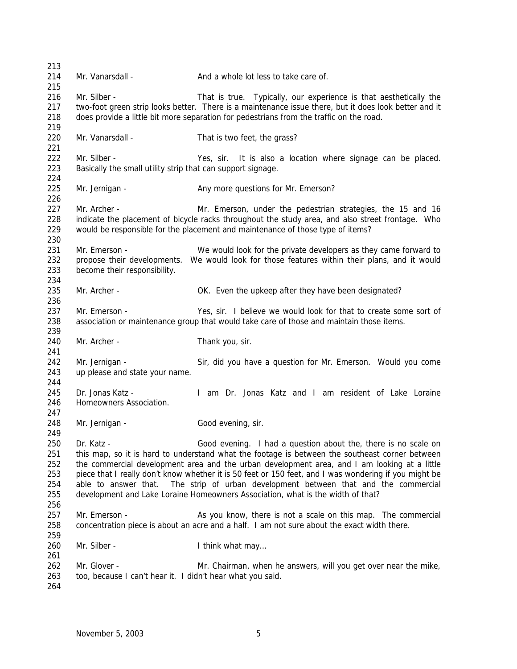| 213               |                                                                                                                                                                                                                                                                                       |                                                                                                                                                                                    |  |  |  |  |  |  |
|-------------------|---------------------------------------------------------------------------------------------------------------------------------------------------------------------------------------------------------------------------------------------------------------------------------------|------------------------------------------------------------------------------------------------------------------------------------------------------------------------------------|--|--|--|--|--|--|
| 214<br>215        | Mr. Vanarsdall -                                                                                                                                                                                                                                                                      | And a whole lot less to take care of.                                                                                                                                              |  |  |  |  |  |  |
| 216<br>217<br>218 | Mr. Silber -<br>That is true. Typically, our experience is that aesthetically the<br>two-foot green strip looks better. There is a maintenance issue there, but it does look better and it<br>does provide a little bit more separation for pedestrians from the traffic on the road. |                                                                                                                                                                                    |  |  |  |  |  |  |
| 219               |                                                                                                                                                                                                                                                                                       |                                                                                                                                                                                    |  |  |  |  |  |  |
| 220<br>221        | Mr. Vanarsdall -                                                                                                                                                                                                                                                                      | That is two feet, the grass?                                                                                                                                                       |  |  |  |  |  |  |
| 222               | Mr. Silber -                                                                                                                                                                                                                                                                          | Yes, sir. It is also a location where signage can be placed.                                                                                                                       |  |  |  |  |  |  |
| 223<br>224        | Basically the small utility strip that can support signage.                                                                                                                                                                                                                           |                                                                                                                                                                                    |  |  |  |  |  |  |
| 225<br>226        | Mr. Jernigan -                                                                                                                                                                                                                                                                        | Any more questions for Mr. Emerson?                                                                                                                                                |  |  |  |  |  |  |
| 227               | Mr. Archer -                                                                                                                                                                                                                                                                          | Mr. Emerson, under the pedestrian strategies, the 15 and 16                                                                                                                        |  |  |  |  |  |  |
| 228<br>229<br>230 |                                                                                                                                                                                                                                                                                       | indicate the placement of bicycle racks throughout the study area, and also street frontage. Who<br>would be responsible for the placement and maintenance of those type of items? |  |  |  |  |  |  |
| 231               | Mr. Emerson -                                                                                                                                                                                                                                                                         | We would look for the private developers as they came forward to                                                                                                                   |  |  |  |  |  |  |
| 232               | propose their developments.                                                                                                                                                                                                                                                           | We would look for those features within their plans, and it would                                                                                                                  |  |  |  |  |  |  |
| 233<br>234        | become their responsibility.                                                                                                                                                                                                                                                          |                                                                                                                                                                                    |  |  |  |  |  |  |
| 235               | Mr. Archer -                                                                                                                                                                                                                                                                          | OK. Even the upkeep after they have been designated?                                                                                                                               |  |  |  |  |  |  |
| 236               |                                                                                                                                                                                                                                                                                       |                                                                                                                                                                                    |  |  |  |  |  |  |
| 237               | Mr. Emerson -                                                                                                                                                                                                                                                                         | Yes, sir. I believe we would look for that to create some sort of                                                                                                                  |  |  |  |  |  |  |
| 238<br>239        |                                                                                                                                                                                                                                                                                       | association or maintenance group that would take care of those and maintain those items.                                                                                           |  |  |  |  |  |  |
| 240<br>241        | Mr. Archer -                                                                                                                                                                                                                                                                          | Thank you, sir.                                                                                                                                                                    |  |  |  |  |  |  |
| 242               | Mr. Jernigan -                                                                                                                                                                                                                                                                        | Sir, did you have a question for Mr. Emerson. Would you come                                                                                                                       |  |  |  |  |  |  |
| 243               | up please and state your name.                                                                                                                                                                                                                                                        |                                                                                                                                                                                    |  |  |  |  |  |  |
| 244<br>245        | Dr. Jonas Katz -                                                                                                                                                                                                                                                                      | I am Dr. Jonas Katz and I am resident of Lake Loraine                                                                                                                              |  |  |  |  |  |  |
| 246               | Homeowners Association.                                                                                                                                                                                                                                                               |                                                                                                                                                                                    |  |  |  |  |  |  |
| 247<br>248        | Mr. Jernigan -                                                                                                                                                                                                                                                                        | Good evening, sir.                                                                                                                                                                 |  |  |  |  |  |  |
| 249               |                                                                                                                                                                                                                                                                                       |                                                                                                                                                                                    |  |  |  |  |  |  |
| 250               | Dr. Katz -                                                                                                                                                                                                                                                                            | Good evening. I had a question about the, there is no scale on                                                                                                                     |  |  |  |  |  |  |
| 251               |                                                                                                                                                                                                                                                                                       | this map, so it is hard to understand what the footage is between the southeast corner between                                                                                     |  |  |  |  |  |  |
| 252               |                                                                                                                                                                                                                                                                                       | the commercial development area and the urban development area, and I am looking at a little                                                                                       |  |  |  |  |  |  |
| 253               |                                                                                                                                                                                                                                                                                       | piece that I really don't know whether it is 50 feet or 150 feet, and I was wondering if you might be                                                                              |  |  |  |  |  |  |
| 254               |                                                                                                                                                                                                                                                                                       | able to answer that. The strip of urban development between that and the commercial                                                                                                |  |  |  |  |  |  |
| 255<br>256        |                                                                                                                                                                                                                                                                                       | development and Lake Loraine Homeowners Association, what is the width of that?                                                                                                    |  |  |  |  |  |  |
| 257               | Mr. Emerson -                                                                                                                                                                                                                                                                         | As you know, there is not a scale on this map. The commercial                                                                                                                      |  |  |  |  |  |  |
| 258<br>259        |                                                                                                                                                                                                                                                                                       | concentration piece is about an acre and a half. I am not sure about the exact width there.                                                                                        |  |  |  |  |  |  |
| 260<br>261        | Mr. Silber -                                                                                                                                                                                                                                                                          | I think what may                                                                                                                                                                   |  |  |  |  |  |  |
| 262               | Mr. Glover -                                                                                                                                                                                                                                                                          | Mr. Chairman, when he answers, will you get over near the mike,                                                                                                                    |  |  |  |  |  |  |
| 263               | too, because I can't hear it. I didn't hear what you said.                                                                                                                                                                                                                            |                                                                                                                                                                                    |  |  |  |  |  |  |
| 264               |                                                                                                                                                                                                                                                                                       |                                                                                                                                                                                    |  |  |  |  |  |  |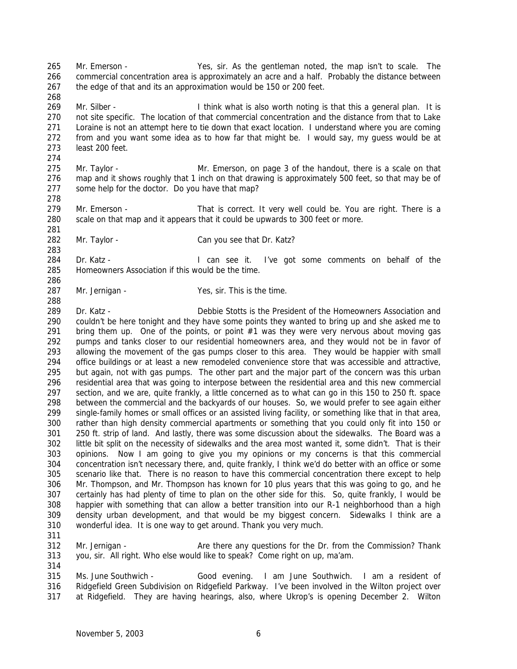Mr. Emerson - Yes, sir. As the gentleman noted, the map isn't to scale. The commercial concentration area is approximately an acre and a half. Probably the distance between the edge of that and its an approximation would be 150 or 200 feet. 

269 Mr. Silber - **I** think what is also worth noting is that this a general plan. It is not site specific. The location of that commercial concentration and the distance from that to Lake Loraine is not an attempt here to tie down that exact location. I understand where you are coming from and you want some idea as to how far that might be. I would say, my guess would be at least 200 feet. 

 Mr. Taylor - Mr. Emerson, on page 3 of the handout, there is a scale on that map and it shows roughly that 1 inch on that drawing is approximately 500 feet, so that may be of some help for the doctor. Do you have that map?

- 279 Mr. Emerson That is correct. It very well could be. You are right. There is a scale on that map and it appears that it could be upwards to 300 feet or more.
- Mr. Taylor Can you see that Dr. Katz?

284 Dr. Katz - The State of Landsee it. I've got some comments on behalf of the Homeowners Association if this would be the time.

287 Mr. Jernigan - Yes, sir. This is the time.

 Dr. Katz - Debbie Stotts is the President of the Homeowners Association and couldn't be here tonight and they have some points they wanted to bring up and she asked me to 291 bring them up. One of the points, or point  $#1$  was they were very nervous about moving gas pumps and tanks closer to our residential homeowners area, and they would not be in favor of allowing the movement of the gas pumps closer to this area. They would be happier with small office buildings or at least a new remodeled convenience store that was accessible and attractive, but again, not with gas pumps. The other part and the major part of the concern was this urban residential area that was going to interpose between the residential area and this new commercial section, and we are, quite frankly, a little concerned as to what can go in this 150 to 250 ft. space between the commercial and the backyards of our houses. So, we would prefer to see again either single-family homes or small offices or an assisted living facility, or something like that in that area, rather than high density commercial apartments or something that you could only fit into 150 or 250 ft. strip of land. And lastly, there was some discussion about the sidewalks. The Board was a little bit split on the necessity of sidewalks and the area most wanted it, some didn't. That is their opinions. Now I am going to give you my opinions or my concerns is that this commercial concentration isn't necessary there, and, quite frankly, I think we'd do better with an office or some scenario like that. There is no reason to have this commercial concentration there except to help Mr. Thompson, and Mr. Thompson has known for 10 plus years that this was going to go, and he certainly has had plenty of time to plan on the other side for this. So, quite frankly, I would be happier with something that can allow a better transition into our R-1 neighborhood than a high density urban development, and that would be my biggest concern. Sidewalks I think are a wonderful idea. It is one way to get around. Thank you very much.

 Mr. Jernigan - Are there any questions for the Dr. from the Commission? Thank you, sir. All right. Who else would like to speak? Come right on up, ma'am.

 Ms. June Southwich - Good evening. I am June Southwich. I am a resident of Ridgefield Green Subdivision on Ridgefield Parkway. I've been involved in the Wilton project over at Ridgefield. They are having hearings, also, where Ukrop's is opening December 2. Wilton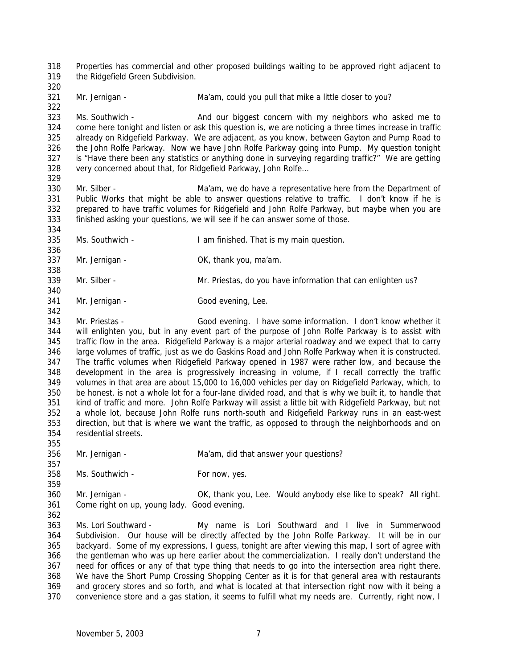Properties has commercial and other proposed buildings waiting to be approved right adjacent to the Ridgefield Green Subdivision.

321 Mr. Jernigan - Ma'am, could you pull that mike a little closer to you?

 Ms. Southwich - And our biggest concern with my neighbors who asked me to come here tonight and listen or ask this question is, we are noticing a three times increase in traffic already on Ridgefield Parkway. We are adjacent, as you know, between Gayton and Pump Road to the John Rolfe Parkway. Now we have John Rolfe Parkway going into Pump. My question tonight is "Have there been any statistics or anything done in surveying regarding traffic?" We are getting 328 very concerned about that, for Ridgefield Parkway, John Rolfe... 

 Mr. Silber - Ma'am, we do have a representative here from the Department of Public Works that might be able to answer questions relative to traffic. I don't know if he is prepared to have traffic volumes for Ridgefield and John Rolfe Parkway, but maybe when you are finished asking your questions, we will see if he can answer some of those.

- Ms. Southwich I am finished. That is my main question.
- 337 Mr. Jernigan OK, thank you, ma'am.

- Mr. Silber Mr. Priestas, do you have information that can enlighten us?
- 341 Mr. Jernigan Good evening, Lee.

 Mr. Priestas - Good evening. I have some information. I don't know whether it will enlighten you, but in any event part of the purpose of John Rolfe Parkway is to assist with traffic flow in the area. Ridgefield Parkway is a major arterial roadway and we expect that to carry large volumes of traffic, just as we do Gaskins Road and John Rolfe Parkway when it is constructed. The traffic volumes when Ridgefield Parkway opened in 1987 were rather low, and because the development in the area is progressively increasing in volume, if I recall correctly the traffic volumes in that area are about 15,000 to 16,000 vehicles per day on Ridgefield Parkway, which, to be honest, is not a whole lot for a four-lane divided road, and that is why we built it, to handle that kind of traffic and more. John Rolfe Parkway will assist a little bit with Ridgefield Parkway, but not a whole lot, because John Rolfe runs north-south and Ridgefield Parkway runs in an east-west direction, but that is where we want the traffic, as opposed to through the neighborhoods and on residential streets.

- Mr. Jernigan Ma'am, did that answer your questions?
- 358 Ms. Southwich For now, yes.

 Mr. Jernigan - OK, thank you, Lee. Would anybody else like to speak? All right. Come right on up, young lady. Good evening.

 Ms. Lori Southward - My name is Lori Southward and I live in Summerwood Subdivision. Our house will be directly affected by the John Rolfe Parkway. It will be in our backyard. Some of my expressions, I guess, tonight are after viewing this map, I sort of agree with the gentleman who was up here earlier about the commercialization. I really don't understand the need for offices or any of that type thing that needs to go into the intersection area right there. We have the Short Pump Crossing Shopping Center as it is for that general area with restaurants and grocery stores and so forth, and what is located at that intersection right now with it being a

convenience store and a gas station, it seems to fulfill what my needs are. Currently, right now, I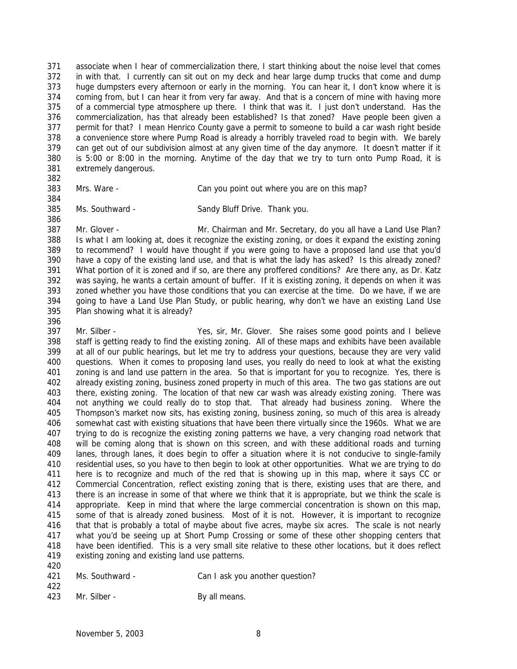associate when I hear of commercialization there, I start thinking about the noise level that comes in with that. I currently can sit out on my deck and hear large dump trucks that come and dump huge dumpsters every afternoon or early in the morning. You can hear it, I don't know where it is 374 coming from, but I can hear it from very far away. And that is a concern of mine with having more of a commercial type atmosphere up there. I think that was it. I just don't understand. Has the commercialization, has that already been established? Is that zoned? Have people been given a permit for that? I mean Henrico County gave a permit to someone to build a car wash right beside a convenience store where Pump Road is already a horribly traveled road to begin with. We barely can get out of our subdivision almost at any given time of the day anymore. It doesn't matter if it is 5:00 or 8:00 in the morning. Anytime of the day that we try to turn onto Pump Road, it is extremely dangerous.

Mrs. Ware - Can you point out where you are on this map?

 Ms. Southward - Sandy Bluff Drive. Thank you. 

 Mr. Glover - Mr. Chairman and Mr. Secretary, do you all have a Land Use Plan? Is what I am looking at, does it recognize the existing zoning, or does it expand the existing zoning to recommend? I would have thought if you were going to have a proposed land use that you'd have a copy of the existing land use, and that is what the lady has asked? Is this already zoned? What portion of it is zoned and if so, are there any proffered conditions? Are there any, as Dr. Katz was saying, he wants a certain amount of buffer. If it is existing zoning, it depends on when it was zoned whether you have those conditions that you can exercise at the time. Do we have, if we are going to have a Land Use Plan Study, or public hearing, why don't we have an existing Land Use Plan showing what it is already?

 Mr. Silber - Yes, sir, Mr. Glover. She raises some good points and I believe staff is getting ready to find the existing zoning. All of these maps and exhibits have been available at all of our public hearings, but let me try to address your questions, because they are very valid questions. When it comes to proposing land uses, you really do need to look at what the existing zoning is and land use pattern in the area. So that is important for you to recognize. Yes, there is already existing zoning, business zoned property in much of this area. The two gas stations are out there, existing zoning. The location of that new car wash was already existing zoning. There was not anything we could really do to stop that. That already had business zoning. Where the Thompson's market now sits, has existing zoning, business zoning, so much of this area is already somewhat cast with existing situations that have been there virtually since the 1960s. What we are trying to do is recognize the existing zoning patterns we have, a very changing road network that will be coming along that is shown on this screen, and with these additional roads and turning lanes, through lanes, it does begin to offer a situation where it is not conducive to single-family residential uses, so you have to then begin to look at other opportunities. What we are trying to do here is to recognize and much of the red that is showing up in this map, where it says CC or Commercial Concentration, reflect existing zoning that is there, existing uses that are there, and there is an increase in some of that where we think that it is appropriate, but we think the scale is appropriate. Keep in mind that where the large commercial concentration is shown on this map, some of that is already zoned business. Most of it is not. However, it is important to recognize that that is probably a total of maybe about five acres, maybe six acres. The scale is not nearly what you'd be seeing up at Short Pump Crossing or some of these other shopping centers that have been identified. This is a very small site relative to these other locations, but it does reflect existing zoning and existing land use patterns.

- Ms. Southward Can I ask you another question?
- 423 Mr. Silber By all means.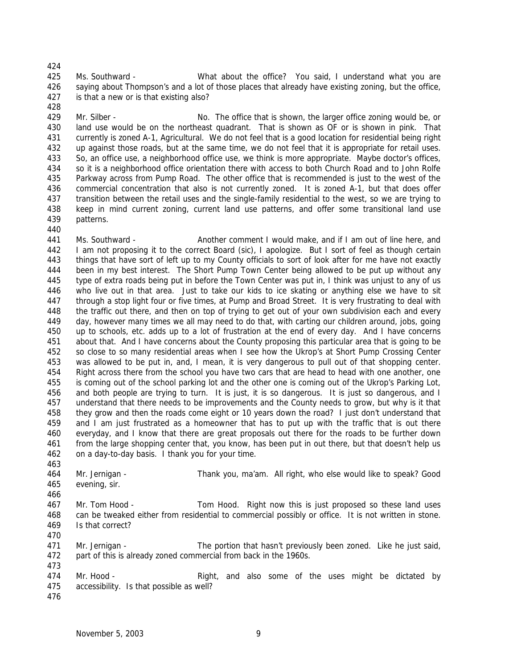Ms. Southward - What about the office? You said, I understand what you are saying about Thompson's and a lot of those places that already have existing zoning, but the office, is that a new or is that existing also?

 Mr. Silber - No. The office that is shown, the larger office zoning would be, or land use would be on the northeast quadrant. That is shown as OF or is shown in pink. That currently is zoned A-1, Agricultural. We do not feel that is a good location for residential being right up against those roads, but at the same time, we do not feel that it is appropriate for retail uses. So, an office use, a neighborhood office use, we think is more appropriate. Maybe doctor's offices, so it is a neighborhood office orientation there with access to both Church Road and to John Rolfe Parkway across from Pump Road. The other office that is recommended is just to the west of the commercial concentration that also is not currently zoned. It is zoned A-1, but that does offer transition between the retail uses and the single-family residential to the west, so we are trying to keep in mind current zoning, current land use patterns, and offer some transitional land use patterns. 

 Ms. Southward - Another comment I would make, and if I am out of line here, and I am not proposing it to the correct Board (sic), I apologize. But I sort of feel as though certain things that have sort of left up to my County officials to sort of look after for me have not exactly been in my best interest. The Short Pump Town Center being allowed to be put up without any type of extra roads being put in before the Town Center was put in, I think was unjust to any of us who live out in that area. Just to take our kids to ice skating or anything else we have to sit through a stop light four or five times, at Pump and Broad Street. It is very frustrating to deal with the traffic out there, and then on top of trying to get out of your own subdivision each and every day, however many times we all may need to do that, with carting our children around, jobs, going up to schools, etc. adds up to a lot of frustration at the end of every day. And I have concerns about that. And I have concerns about the County proposing this particular area that is going to be so close to so many residential areas when I see how the Ukrop's at Short Pump Crossing Center was allowed to be put in, and, I mean, it is very dangerous to pull out of that shopping center. Right across there from the school you have two cars that are head to head with one another, one is coming out of the school parking lot and the other one is coming out of the Ukrop's Parking Lot, and both people are trying to turn. It is just, it is so dangerous. It is just so dangerous, and I understand that there needs to be improvements and the County needs to grow, but why is it that they grow and then the roads come eight or 10 years down the road? I just don't understand that and I am just frustrated as a homeowner that has to put up with the traffic that is out there everyday, and I know that there are great proposals out there for the roads to be further down from the large shopping center that, you know, has been put in out there, but that doesn't help us on a day-to-day basis. I thank you for your time.

 Mr. Jernigan - Thank you, ma'am. All right, who else would like to speak? Good evening, sir.

467 Mr. Tom Hood - Tom Hood. Right now this is just proposed so these land uses can be tweaked either from residential to commercial possibly or office. It is not written in stone. Is that correct? 

 Mr. Jernigan - The portion that hasn't previously been zoned. Like he just said, part of this is already zoned commercial from back in the 1960s.

474 Mr. Hood - Right, and also some of the uses might be dictated by accessibility. Is that possible as well?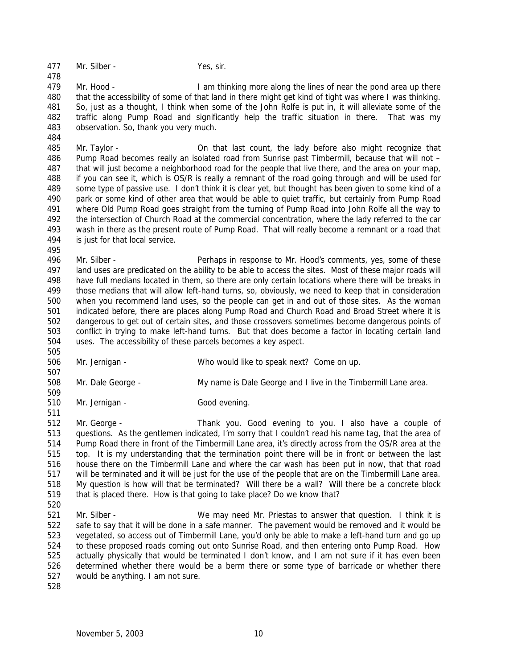477 Mr. Silber - Yes, sir.

479 Mr. Hood - I am thinking more along the lines of near the pond area up there 480 that the accessibility of some of that land in there might get kind of tight was where I was thinking. So, just as a thought, I think when some of the John Rolfe is put in, it will alleviate some of the traffic along Pump Road and significantly help the traffic situation in there. That was my observation. So, thank you very much.

 Mr. Taylor - On that last count, the lady before also might recognize that Pump Road becomes really an isolated road from Sunrise past Timbermill, because that will not – that will just become a neighborhood road for the people that live there, and the area on your map, if you can see it, which is OS/R is really a remnant of the road going through and will be used for some type of passive use. I don't think it is clear yet, but thought has been given to some kind of a park or some kind of other area that would be able to quiet traffic, but certainly from Pump Road where Old Pump Road goes straight from the turning of Pump Road into John Rolfe all the way to the intersection of Church Road at the commercial concentration, where the lady referred to the car wash in there as the present route of Pump Road. That will really become a remnant or a road that is just for that local service.

496 Mr. Silber - Perhaps in response to Mr. Hood's comments, yes, some of these land uses are predicated on the ability to be able to access the sites. Most of these major roads will have full medians located in them, so there are only certain locations where there will be breaks in those medians that will allow left-hand turns, so, obviously, we need to keep that in consideration when you recommend land uses, so the people can get in and out of those sites. As the woman indicated before, there are places along Pump Road and Church Road and Broad Street where it is dangerous to get out of certain sites, and those crossovers sometimes become dangerous points of conflict in trying to make left-hand turns. But that does become a factor in locating certain land uses. The accessibility of these parcels becomes a key aspect.

Mr. Jernigan - Who would like to speak next? Come on up.

Mr. Dale George - My name is Dale George and I live in the Timbermill Lane area.

Mr. Jernigan - Good evening.

 Mr. George - Thank you. Good evening to you. I also have a couple of questions. As the gentlemen indicated, I'm sorry that I couldn't read his name tag, that the area of Pump Road there in front of the Timbermill Lane area, it's directly across from the OS/R area at the top. It is my understanding that the termination point there will be in front or between the last house there on the Timbermill Lane and where the car wash has been put in now, that that road will be terminated and it will be just for the use of the people that are on the Timbermill Lane area. My question is how will that be terminated? Will there be a wall? Will there be a concrete block that is placed there. How is that going to take place? Do we know that?

- Mr. Silber We may need Mr. Priestas to answer that question. I think it is safe to say that it will be done in a safe manner. The pavement would be removed and it would be vegetated, so access out of Timbermill Lane, you'd only be able to make a left-hand turn and go up to these proposed roads coming out onto Sunrise Road, and then entering onto Pump Road. How actually physically that would be terminated I don't know, and I am not sure if it has even been determined whether there would be a berm there or some type of barricade or whether there would be anything. I am not sure.
-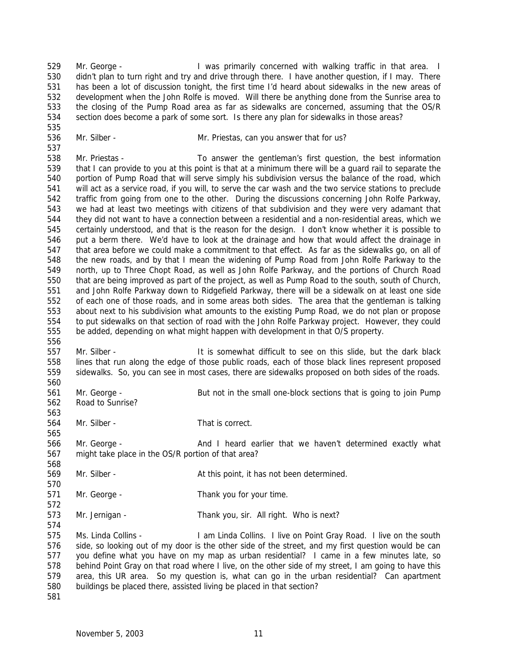Mr. George - I was primarily concerned with walking traffic in that area. I didn't plan to turn right and try and drive through there. I have another question, if I may. There has been a lot of discussion tonight, the first time I'd heard about sidewalks in the new areas of development when the John Rolfe is moved. Will there be anything done from the Sunrise area to the closing of the Pump Road area as far as sidewalks are concerned, assuming that the OS/R section does become a park of some sort. Is there any plan for sidewalks in those areas?

536 Mr. Silber - Mr. Priestas, can you answer that for us?

 Mr. Priestas - To answer the gentleman's first question, the best information that I can provide to you at this point is that at a minimum there will be a guard rail to separate the portion of Pump Road that will serve simply his subdivision versus the balance of the road, which will act as a service road, if you will, to serve the car wash and the two service stations to preclude traffic from going from one to the other. During the discussions concerning John Rolfe Parkway, we had at least two meetings with citizens of that subdivision and they were very adamant that they did not want to have a connection between a residential and a non-residential areas, which we certainly understood, and that is the reason for the design. I don't know whether it is possible to put a berm there. We'd have to look at the drainage and how that would affect the drainage in that area before we could make a commitment to that effect. As far as the sidewalks go, on all of the new roads, and by that I mean the widening of Pump Road from John Rolfe Parkway to the north, up to Three Chopt Road, as well as John Rolfe Parkway, and the portions of Church Road that are being improved as part of the project, as well as Pump Road to the south, south of Church, and John Rolfe Parkway down to Ridgefield Parkway, there will be a sidewalk on at least one side of each one of those roads, and in some areas both sides. The area that the gentleman is talking about next to his subdivision what amounts to the existing Pump Road, we do not plan or propose to put sidewalks on that section of road with the John Rolfe Parkway project. However, they could be added, depending on what might happen with development in that O/S property. 

 Mr. Silber - It is somewhat difficult to see on this slide, but the dark black lines that run along the edge of those public roads, each of those black lines represent proposed sidewalks. So, you can see in most cases, there are sidewalks proposed on both sides of the roads. 

- Mr. George But not in the small one-block sections that is going to join Pump Road to Sunrise?
- Mr. Silber That is correct.

 Mr. George - And I heard earlier that we haven't determined exactly what might take place in the OS/R portion of that area?

- 569 Mr. Silber At this point, it has not been determined.
- Mr. George Thank you for your time.
- Mr. Jernigan Thank you, sir. All right. Who is next?

 Ms. Linda Collins - I am Linda Collins. I live on Point Gray Road. I live on the south side, so looking out of my door is the other side of the street, and my first question would be can you define what you have on my map as urban residential? I came in a few minutes late, so behind Point Gray on that road where I live, on the other side of my street, I am going to have this area, this UR area. So my question is, what can go in the urban residential? Can apartment buildings be placed there, assisted living be placed in that section?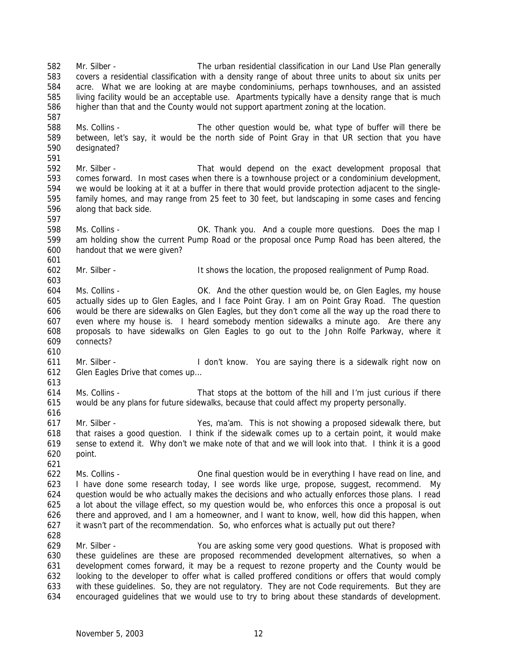higher than that and the County would not support apartment zoning at the location. Ms. Collins - The other question would be, what type of buffer will there be between, let's say, it would be the north side of Point Gray in that UR section that you have designated? Mr. Silber - That would depend on the exact development proposal that comes forward. In most cases when there is a townhouse project or a condominium development, we would be looking at it at a buffer in there that would provide protection adjacent to the single- family homes, and may range from 25 feet to 30 feet, but landscaping in some cases and fencing along that back side. Ms. Collins - OK. Thank you. And a couple more questions. Does the map I am holding show the current Pump Road or the proposal once Pump Road has been altered, the handout that we were given? Mr. Silber - It shows the location, the proposed realignment of Pump Road. Ms. Collins - OK. And the other question would be, on Glen Eagles, my house actually sides up to Glen Eagles, and I face Point Gray. I am on Point Gray Road. The question would be there are sidewalks on Glen Eagles, but they don't come all the way up the road there to even where my house is. I heard somebody mention sidewalks a minute ago. Are there any proposals to have sidewalks on Glen Eagles to go out to the John Rolfe Parkway, where it connects? Mr. Silber - I don't know. You are saying there is a sidewalk right now on Glen Eagles Drive that comes up… Ms. Collins - That stops at the bottom of the hill and I'm just curious if there would be any plans for future sidewalks, because that could affect my property personally. Mr. Silber - Yes, ma'am. This is not showing a proposed sidewalk there, but that raises a good question. I think if the sidewalk comes up to a certain point, it would make sense to extend it. Why don't we make note of that and we will look into that. I think it is a good point. Ms. Collins - One final question would be in everything I have read on line, and I have done some research today, I see words like urge, propose, suggest, recommend. My question would be who actually makes the decisions and who actually enforces those plans. I read a lot about the village effect, so my question would be, who enforces this once a proposal is out there and approved, and I am a homeowner, and I want to know, well, how did this happen, when it wasn't part of the recommendation. So, who enforces what is actually put out there? Mr. Silber - You are asking some very good questions. What is proposed with these guidelines are these are proposed recommended development alternatives, so when a development comes forward, it may be a request to rezone property and the County would be looking to the developer to offer what is called proffered conditions or offers that would comply with these guidelines. So, they are not regulatory. They are not Code requirements. But they are encouraged guidelines that we would use to try to bring about these standards of development.

 Mr. Silber - The urban residential classification in our Land Use Plan generally covers a residential classification with a density range of about three units to about six units per acre. What we are looking at are maybe condominiums, perhaps townhouses, and an assisted living facility would be an acceptable use. Apartments typically have a density range that is much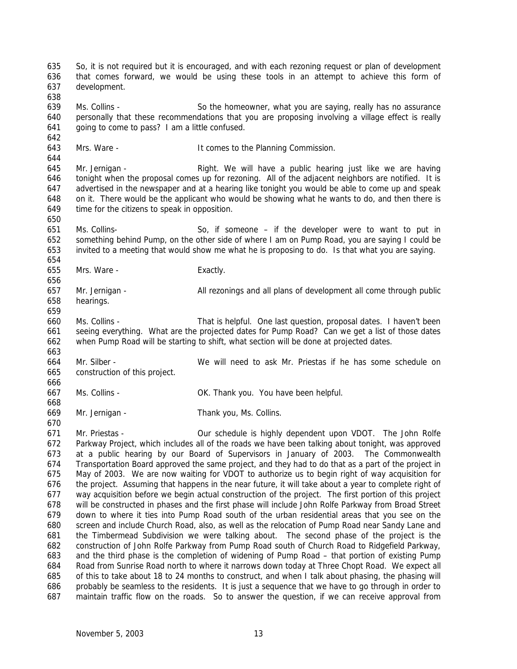So, it is not required but it is encouraged, and with each rezoning request or plan of development that comes forward, we would be using these tools in an attempt to achieve this form of development. Ms. Collins - So the homeowner, what you are saying, really has no assurance personally that these recommendations that you are proposing involving a village effect is really going to come to pass? I am a little confused. 643 Mrs. Ware - It comes to the Planning Commission. Mr. Jernigan - Right. We will have a public hearing just like we are having tonight when the proposal comes up for rezoning. All of the adjacent neighbors are notified. It is advertised in the newspaper and at a hearing like tonight you would be able to come up and speak on it. There would be the applicant who would be showing what he wants to do, and then there is time for the citizens to speak in opposition. Ms. Collins- So, if someone – if the developer were to want to put in something behind Pump, on the other side of where I am on Pump Road, you are saying I could be invited to a meeting that would show me what he is proposing to do. Is that what you are saying. Mrs. Ware - Exactly. Mr. Jernigan - All rezonings and all plans of development all come through public hearings. Ms. Collins - That is helpful. One last question, proposal dates. I haven't been seeing everything. What are the projected dates for Pump Road? Can we get a list of those dates when Pump Road will be starting to shift, what section will be done at projected dates. Mr. Silber - We will need to ask Mr. Priestas if he has some schedule on construction of this project. Ms. Collins - OK. Thank you. You have been helpful. Mr. Jernigan - Thank you, Ms. Collins. Mr. Priestas - Our schedule is highly dependent upon VDOT. The John Rolfe Parkway Project, which includes all of the roads we have been talking about tonight, was approved at a public hearing by our Board of Supervisors in January of 2003. The Commonwealth Transportation Board approved the same project, and they had to do that as a part of the project in May of 2003. We are now waiting for VDOT to authorize us to begin right of way acquisition for the project. Assuming that happens in the near future, it will take about a year to complete right of way acquisition before we begin actual construction of the project. The first portion of this project will be constructed in phases and the first phase will include John Rolfe Parkway from Broad Street down to where it ties into Pump Road south of the urban residential areas that you see on the screen and include Church Road, also, as well as the relocation of Pump Road near Sandy Lane and the Timbermead Subdivision we were talking about. The second phase of the project is the construction of John Rolfe Parkway from Pump Road south of Church Road to Ridgefield Parkway, and the third phase is the completion of widening of Pump Road – that portion of existing Pump Road from Sunrise Road north to where it narrows down today at Three Chopt Road. We expect all of this to take about 18 to 24 months to construct, and when I talk about phasing, the phasing will probably be seamless to the residents. It is just a sequence that we have to go through in order to maintain traffic flow on the roads. So to answer the question, if we can receive approval from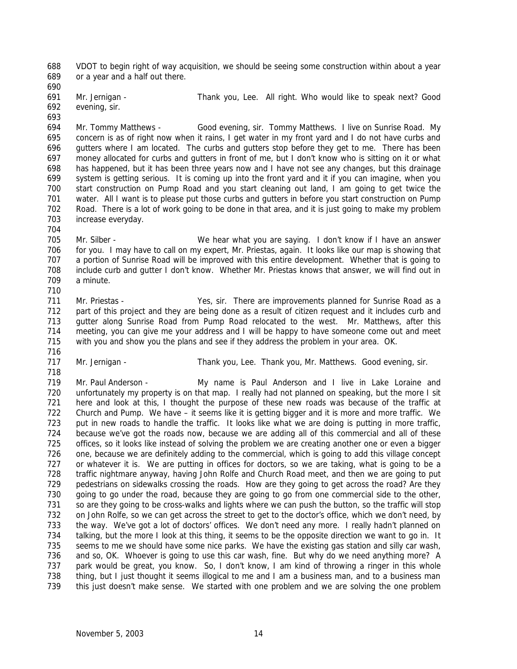VDOT to begin right of way acquisition, we should be seeing some construction within about a year or a year and a half out there.

 Mr. Jernigan - Thank you, Lee. All right. Who would like to speak next? Good evening, sir.

 Mr. Tommy Matthews - Good evening, sir. Tommy Matthews. I live on Sunrise Road. My concern is as of right now when it rains, I get water in my front yard and I do not have curbs and gutters where I am located. The curbs and gutters stop before they get to me. There has been money allocated for curbs and gutters in front of me, but I don't know who is sitting on it or what has happened, but it has been three years now and I have not see any changes, but this drainage system is getting serious. It is coming up into the front yard and it if you can imagine, when you start construction on Pump Road and you start cleaning out land, I am going to get twice the water. All I want is to please put those curbs and gutters in before you start construction on Pump Road. There is a lot of work going to be done in that area, and it is just going to make my problem increase everyday.

 Mr. Silber - We hear what you are saying. I don't know if I have an answer for you. I may have to call on my expert, Mr. Priestas, again. It looks like our map is showing that a portion of Sunrise Road will be improved with this entire development. Whether that is going to include curb and gutter I don't know. Whether Mr. Priestas knows that answer, we will find out in a minute.

 Mr. Priestas - Yes, sir. There are improvements planned for Sunrise Road as a 712 part of this project and they are being done as a result of citizen request and it includes curb and gutter along Sunrise Road from Pump Road relocated to the west. Mr. Matthews, after this meeting, you can give me your address and I will be happy to have someone come out and meet with you and show you the plans and see if they address the problem in your area. OK.

 

717 Mr. Jernigan - Thank you, Lee. Thank you, Mr. Matthews. Good evening, sir.

 Mr. Paul Anderson - My name is Paul Anderson and I live in Lake Loraine and unfortunately my property is on that map. I really had not planned on speaking, but the more I sit here and look at this, I thought the purpose of these new roads was because of the traffic at Church and Pump. We have – it seems like it is getting bigger and it is more and more traffic. We put in new roads to handle the traffic. It looks like what we are doing is putting in more traffic, because we've got the roads now, because we are adding all of this commercial and all of these offices, so it looks like instead of solving the problem we are creating another one or even a bigger one, because we are definitely adding to the commercial, which is going to add this village concept or whatever it is. We are putting in offices for doctors, so we are taking, what is going to be a traffic nightmare anyway, having John Rolfe and Church Road meet, and then we are going to put pedestrians on sidewalks crossing the roads. How are they going to get across the road? Are they going to go under the road, because they are going to go from one commercial side to the other, so are they going to be cross-walks and lights where we can push the button, so the traffic will stop on John Rolfe, so we can get across the street to get to the doctor's office, which we don't need, by the way. We've got a lot of doctors' offices. We don't need any more. I really hadn't planned on talking, but the more I look at this thing, it seems to be the opposite direction we want to go in. It 735 seems to me we should have some nice parks. We have the existing gas station and silly car wash, and so, OK. Whoever is going to use this car wash, fine. But why do we need anything more? A park would be great, you know. So, I don't know, I am kind of throwing a ringer in this whole thing, but I just thought it seems illogical to me and I am a business man, and to a business man this just doesn't make sense. We started with one problem and we are solving the one problem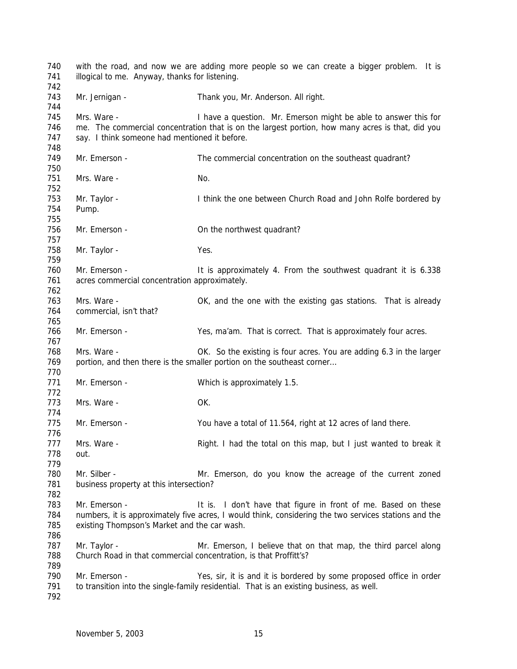| 740<br>741<br>742        | with the road, and now we are adding more people so we can create a bigger problem. It is<br>illogical to me. Anyway, thanks for listening. |                                                                                                                                                                         |  |  |  |  |
|--------------------------|---------------------------------------------------------------------------------------------------------------------------------------------|-------------------------------------------------------------------------------------------------------------------------------------------------------------------------|--|--|--|--|
| 743<br>744               | Mr. Jernigan -                                                                                                                              | Thank you, Mr. Anderson. All right.                                                                                                                                     |  |  |  |  |
| 745<br>746<br>747<br>748 | Mrs. Ware -<br>say. I think someone had mentioned it before.                                                                                | I have a question. Mr. Emerson might be able to answer this for<br>me. The commercial concentration that is on the largest portion, how many acres is that, did you     |  |  |  |  |
| 749                      | Mr. Emerson -                                                                                                                               | The commercial concentration on the southeast quadrant?                                                                                                                 |  |  |  |  |
| 750<br>751<br>752        | Mrs. Ware -                                                                                                                                 | No.                                                                                                                                                                     |  |  |  |  |
| 753<br>754<br>755        | Mr. Taylor -<br>Pump.                                                                                                                       | I think the one between Church Road and John Rolfe bordered by                                                                                                          |  |  |  |  |
| 756<br>757               | Mr. Emerson -                                                                                                                               | On the northwest quadrant?                                                                                                                                              |  |  |  |  |
| 758<br>759               | Mr. Taylor -                                                                                                                                | Yes.                                                                                                                                                                    |  |  |  |  |
| 760<br>761<br>762        | Mr. Emerson -<br>acres commercial concentration approximately.                                                                              | It is approximately 4. From the southwest quadrant it is 6.338                                                                                                          |  |  |  |  |
| 763<br>764<br>765        | Mrs. Ware -<br>commercial, isn't that?                                                                                                      | OK, and the one with the existing gas stations. That is already                                                                                                         |  |  |  |  |
| 766<br>767               | Mr. Emerson -                                                                                                                               | Yes, ma'am. That is correct. That is approximately four acres.                                                                                                          |  |  |  |  |
| 768<br>769<br>770        | Mrs. Ware -                                                                                                                                 | OK. So the existing is four acres. You are adding 6.3 in the larger<br>portion, and then there is the smaller portion on the southeast corner                           |  |  |  |  |
| 771<br>772               | Mr. Emerson -                                                                                                                               | Which is approximately 1.5.                                                                                                                                             |  |  |  |  |
| 773<br>774               | Mrs. Ware -                                                                                                                                 | OK.                                                                                                                                                                     |  |  |  |  |
| 775<br>776               | Mr. Emerson -                                                                                                                               | You have a total of 11.564, right at 12 acres of land there.                                                                                                            |  |  |  |  |
| 777<br>778<br>779        | Mrs. Ware -<br>out.                                                                                                                         | Right. I had the total on this map, but I just wanted to break it                                                                                                       |  |  |  |  |
| 780<br>781<br>782        | Mr. Silber -<br>business property at this intersection?                                                                                     | Mr. Emerson, do you know the acreage of the current zoned                                                                                                               |  |  |  |  |
| 783<br>784<br>785<br>786 | Mr. Emerson -<br>existing Thompson's Market and the car wash.                                                                               | It is. I don't have that figure in front of me. Based on these<br>numbers, it is approximately five acres, I would think, considering the two services stations and the |  |  |  |  |
| 787<br>788<br>789        | Mr. Taylor -<br>Church Road in that commercial concentration, is that Proffitt's?                                                           | Mr. Emerson, I believe that on that map, the third parcel along                                                                                                         |  |  |  |  |
| 790<br>791<br>792        | Mr. Emerson -                                                                                                                               | Yes, sir, it is and it is bordered by some proposed office in order<br>to transition into the single-family residential. That is an existing business, as well.         |  |  |  |  |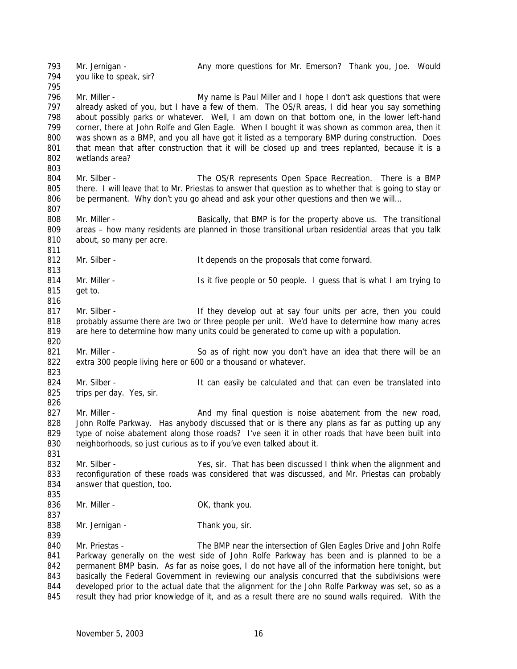Mr. Jernigan - Any more questions for Mr. Emerson? Thank you, Joe. Would you like to speak, sir? 796 Mr. Miller - My name is Paul Miller and I hope I don't ask questions that were 797 already asked of you, but I have a few of them. The OS/R areas, I did hear you say something about possibly parks or whatever. Well, I am down on that bottom one, in the lower left-hand corner, there at John Rolfe and Glen Eagle. When I bought it was shown as common area, then it was shown as a BMP, and you all have got it listed as a temporary BMP during construction. Does that mean that after construction that it will be closed up and trees replanted, because it is a wetlands area? Mr. Silber - The OS/R represents Open Space Recreation. There is a BMP there. I will leave that to Mr. Priestas to answer that question as to whether that is going to stay or 806 be permanent. Why don't you go ahead and ask your other questions and then we will... Mr. Miller - Basically, that BMP is for the property above us. The transitional areas – how many residents are planned in those transitional urban residential areas that you talk 810 about, so many per acre. 812 Mr. Silber - The Superint State of the proposals that come forward. 814 Mr. Miller - The Is it five people or 50 people. I guess that is what I am trying to get to. 817 Mr. Silber - They develop out at say four units per acre, then you could probably assume there are two or three people per unit. We'd have to determine how many acres are here to determine how many units could be generated to come up with a population. 821 Mr. Miller - So as of right now you don't have an idea that there will be an extra 300 people living here or 600 or a thousand or whatever. 824 Mr. Silber - It can easily be calculated and that can even be translated into trips per day. Yes, sir. 827 Mr. Miller - And my final question is noise abatement from the new road, 828 John Rolfe Parkway. Has anybody discussed that or is there any plans as far as putting up any type of noise abatement along those roads? I've seen it in other roads that have been built into neighborhoods, so just curious as to if you've even talked about it. Mr. Silber - Yes, sir. That has been discussed I think when the alignment and 833 reconfiguration of these roads was considered that was discussed, and Mr. Priestas can probably 834 answer that question, too. 836 Mr. Miller - Cassic Controller Controller and Controller Controller Controller Controller Controller Controller Controller Controller Controller Controller Controller Controller Controller Controller Controller Control 838 Mr. Jernigan - Thank you, sir. Mr. Priestas - The BMP near the intersection of Glen Eagles Drive and John Rolfe Parkway generally on the west side of John Rolfe Parkway has been and is planned to be a permanent BMP basin. As far as noise goes, I do not have all of the information here tonight, but 843 basically the Federal Government in reviewing our analysis concurred that the subdivisions were developed prior to the actual date that the alignment for the John Rolfe Parkway was set, so as a

result they had prior knowledge of it, and as a result there are no sound walls required. With the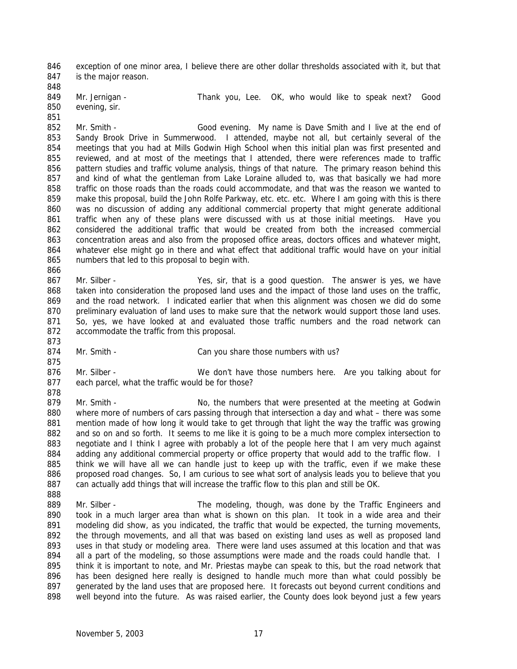exception of one minor area, I believe there are other dollar thresholds associated with it, but that is the major reason.

 evening, sir. 

849 Mr. Jernigan - Thank you, Lee. OK, who would like to speak next? Good

 Mr. Smith - Good evening. My name is Dave Smith and I live at the end of Sandy Brook Drive in Summerwood. I attended, maybe not all, but certainly several of the meetings that you had at Mills Godwin High School when this initial plan was first presented and reviewed, and at most of the meetings that I attended, there were references made to traffic pattern studies and traffic volume analysis, things of that nature. The primary reason behind this and kind of what the gentleman from Lake Loraine alluded to, was that basically we had more traffic on those roads than the roads could accommodate, and that was the reason we wanted to make this proposal, build the John Rolfe Parkway, etc. etc. etc. Where I am going with this is there was no discussion of adding any additional commercial property that might generate additional traffic when any of these plans were discussed with us at those initial meetings. Have you considered the additional traffic that would be created from both the increased commercial concentration areas and also from the proposed office areas, doctors offices and whatever might, whatever else might go in there and what effect that additional traffic would have on your initial numbers that led to this proposal to begin with.

 Mr. Silber - Yes, sir, that is a good question. The answer is yes, we have taken into consideration the proposed land uses and the impact of those land uses on the traffic, and the road network. I indicated earlier that when this alignment was chosen we did do some preliminary evaluation of land uses to make sure that the network would support those land uses. So, yes, we have looked at and evaluated those traffic numbers and the road network can accommodate the traffic from this proposal.

- 874 Mr. Smith Can you share those numbers with us?
- Mr. Silber We don't have those numbers here. Are you talking about for each parcel, what the traffic would be for those?
- 879 Mr. Smith No, the numbers that were presented at the meeting at Godwin where more of numbers of cars passing through that intersection a day and what – there was some mention made of how long it would take to get through that light the way the traffic was growing and so on and so forth. It seems to me like it is going to be a much more complex intersection to negotiate and I think I agree with probably a lot of the people here that I am very much against 884 adding any additional commercial property or office property that would add to the traffic flow. I think we will have all we can handle just to keep up with the traffic, even if we make these 886 proposed road changes. So, I am curious to see what sort of analysis leads you to believe that you 887 can actually add things that will increase the traffic flow to this plan and still be OK.
- Mr. Silber The modeling, though, was done by the Traffic Engineers and took in a much larger area than what is shown on this plan. It took in a wide area and their 891 modeling did show, as you indicated, the traffic that would be expected, the turning movements, the through movements, and all that was based on existing land uses as well as proposed land uses in that study or modeling area. There were land uses assumed at this location and that was 894 all a part of the modeling, so those assumptions were made and the roads could handle that. I think it is important to note, and Mr. Priestas maybe can speak to this, but the road network that 896 has been designed here really is designed to handle much more than what could possibly be generated by the land uses that are proposed here. It forecasts out beyond current conditions and well beyond into the future. As was raised earlier, the County does look beyond just a few years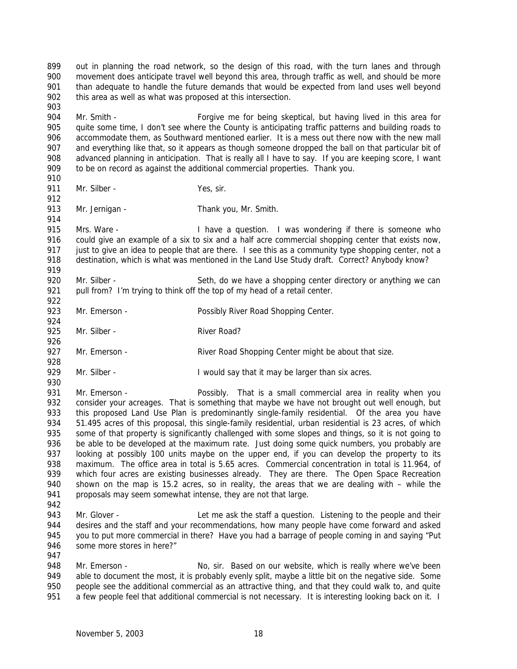Mr. Smith - Forgive me for being skeptical, but having lived in this area for quite some time, I don't see where the County is anticipating traffic patterns and building roads to accommodate them, as Southward mentioned earlier. It is a mess out there now with the new mall and everything like that, so it appears as though someone dropped the ball on that particular bit of advanced planning in anticipation. That is really all I have to say. If you are keeping score, I want to be on record as against the additional commercial properties. Thank you. 911 Mr. Silber - Yes, sir. 913 Mr. Jernigan - Thank you, Mr. Smith. Mrs. Ware - I have a question. I was wondering if there is someone who could give an example of a six to six and a half acre commercial shopping center that exists now, just to give an idea to people that are there. I see this as a community type shopping center, not a 918 destination, which is what was mentioned in the Land Use Study draft. Correct? Anybody know? 920 Mr. Silber - Seth, do we have a shopping center directory or anything we can 921 pull from? I'm trying to think off the top of my head of a retail center. 923 Mr. Emerson - Possibly River Road Shopping Center. 925 Mr. Silber - River Road? 927 Mr. Emerson - River Road Shopping Center might be about that size. 929 Mr. Silber - **I** would say that it may be larger than six acres. Mr. Emerson - Possibly. That is a small commercial area in reality when you consider your acreages. That is something that maybe we have not brought out well enough, but this proposed Land Use Plan is predominantly single-family residential. Of the area you have 51.495 acres of this proposal, this single-family residential, urban residential is 23 acres, of which 935 some of that property is significantly challenged with some slopes and things, so it is not going to be able to be developed at the maximum rate. Just doing some quick numbers, you probably are looking at possibly 100 units maybe on the upper end, if you can develop the property to its 938 maximum. The office area in total is 5.65 acres. Commercial concentration in total is 11.964, of 939 which four acres are existing businesses already. They are there. The Open Space Recreation shown on the map is 15.2 acres, so in reality, the areas that we are dealing with – while the 941 proposals may seem somewhat intense, they are not that large. 943 Mr. Glover - Let me ask the staff a question. Listening to the people and their 944 desires and the staff and your recommendations, how many people have come forward and asked you to put more commercial in there? Have you had a barrage of people coming in and saying "Put some more stores in here?" 948 Mr. Emerson - No, sir. Based on our website, which is really where we've been 949 able to document the most, it is probably evenly split, maybe a little bit on the negative side. Some

 out in planning the road network, so the design of this road, with the turn lanes and through movement does anticipate travel well beyond this area, through traffic as well, and should be more than adequate to handle the future demands that would be expected from land uses well beyond

902 this area as well as what was proposed at this intersection.

 people see the additional commercial as an attractive thing, and that they could walk to, and quite 951 a few people feel that additional commercial is not necessary. It is interesting looking back on it. I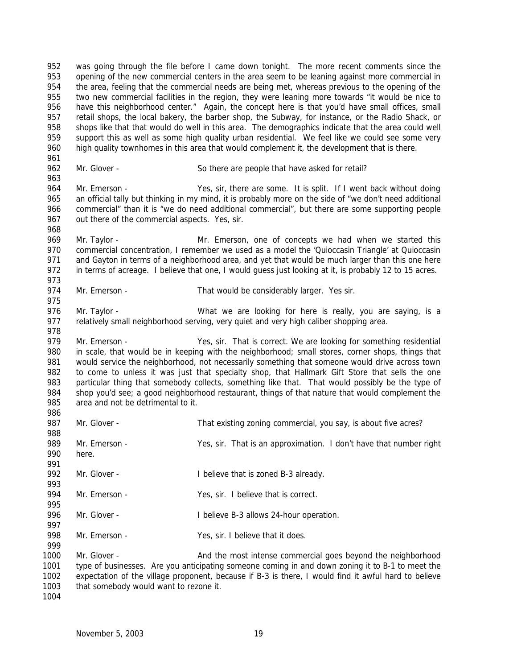was going through the file before I came down tonight. The more recent comments since the opening of the new commercial centers in the area seem to be leaning against more commercial in the area, feeling that the commercial needs are being met, whereas previous to the opening of the 955 two new commercial facilities in the region, they were leaning more towards "it would be nice to 956 have this neighborhood center." Again, the concept here is that you'd have small offices, small retail shops, the local bakery, the barber shop, the Subway, for instance, or the Radio Shack, or shops like that that would do well in this area. The demographics indicate that the area could well support this as well as some high quality urban residential. We feel like we could see some very high quality townhomes in this area that would complement it, the development that is there. Mr. Glover - So there are people that have asked for retail?

 Mr. Emerson - Yes, sir, there are some. It is split. If I went back without doing an official tally but thinking in my mind, it is probably more on the side of "we don't need additional commercial" than it is "we do need additional commercial", but there are some supporting people 967 out there of the commercial aspects. Yes, sir. 

 Mr. Taylor - Mr. Emerson, one of concepts we had when we started this 970 commercial concentration, I remember we used as a model the 'Quioccasin Triangle' at Quioccasin 971 and Gayton in terms of a neighborhood area, and yet that would be much larger than this one here in terms of acreage. I believe that one, I would guess just looking at it, is probably 12 to 15 acres. 

974 Mr. Emerson - That would be considerably larger. Yes sir.

 976 Mr. Taylor - What we are looking for here is really, you are saying, is a relatively small neighborhood serving, very quiet and very high caliber shopping area.

979 Mr. Emerson - Yes, sir. That is correct. We are looking for something residential in scale, that would be in keeping with the neighborhood; small stores, corner shops, things that would service the neighborhood, not necessarily something that someone would drive across town to come to unless it was just that specialty shop, that Hallmark Gift Store that sells the one 983 particular thing that somebody collects, something like that. That would possibly be the type of 984 shop you'd see: a good neighborhood restaurant, things of that nature that would complement the shop you'd see; a good neighborhood restaurant, things of that nature that would complement the area and not be detrimental to it.

 Mr. Glover - That existing zoning commercial, you say, is about five acres? Mr. Emerson - Yes, sir. That is an approximation. I don't have that number right here. 992 Mr. Glover - I believe that is zoned B-3 already. Mr. Emerson - Yes, sir. I believe that is correct. 996 Mr. Glover - I believe B-3 allows 24-hour operation. 998 Mr. Emerson - Yes, sir. I believe that it does. 1000 Mr. Glover - And the most intense commercial goes beyond the neighborhood type of businesses. Are you anticipating someone coming in and down zoning it to B-1 to meet the expectation of the village proponent, because if B-3 is there, I would find it awful hard to believe

that somebody would want to rezone it.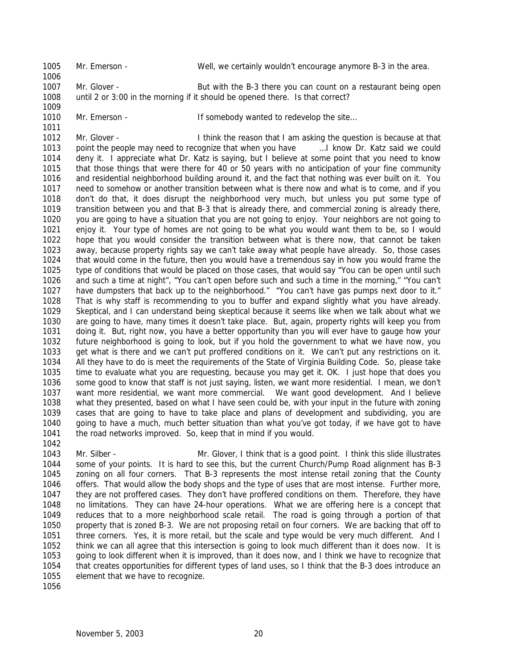Mr. Emerson - Well, we certainly wouldn't encourage anymore B-3 in the area. 1007 Mr. Glover - But with the B-3 there you can count on a restaurant being open until 2 or 3:00 in the morning if it should be opened there. Is that correct?

1010 Mr. Emerson - If somebody wanted to redevelop the site...

1012 Mr. Glover - I think the reason that I am asking the question is because at that 1013 point the people may need to recognize that when you have **East 1.** I know Dr. Katz said we could deny it. I appreciate what Dr. Katz is saying, but I believe at some point that you need to know that those things that were there for 40 or 50 years with no anticipation of your fine community and residential neighborhood building around it, and the fact that nothing was ever built on it. You need to somehow or another transition between what is there now and what is to come, and if you don't do that, it does disrupt the neighborhood very much, but unless you put some type of transition between you and that B-3 that is already there, and commercial zoning is already there, you are going to have a situation that you are not going to enjoy. Your neighbors are not going to enjoy it. Your type of homes are not going to be what you would want them to be, so I would hope that you would consider the transition between what is there now, that cannot be taken away, because property rights say we can't take away what people have already. So, those cases that would come in the future, then you would have a tremendous say in how you would frame the type of conditions that would be placed on those cases, that would say "You can be open until such and such a time at night", "You can't open before such and such a time in the morning," "You can't have dumpsters that back up to the neighborhood." "You can't have gas pumps next door to it." That is why staff is recommending to you to buffer and expand slightly what you have already. Skeptical, and I can understand being skeptical because it seems like when we talk about what we are going to have, many times it doesn't take place. But, again, property rights will keep you from doing it. But, right now, you have a better opportunity than you will ever have to gauge how your future neighborhood is going to look, but if you hold the government to what we have now, you get what is there and we can't put proffered conditions on it. We can't put any restrictions on it. All they have to do is meet the requirements of the State of Virginia Building Code. So, please take time to evaluate what you are requesting, because you may get it. OK. I just hope that does you some good to know that staff is not just saying, listen, we want more residential. I mean, we don't want more residential, we want more commercial. We want good development. And I believe what they presented, based on what I have seen could be, with your input in the future with zoning cases that are going to have to take place and plans of development and subdividing, you are going to have a much, much better situation than what you've got today, if we have got to have 1041 the road networks improved. So, keep that in mind if you would.

 Mr. Silber - Mr. Glover, I think that is a good point. I think this slide illustrates some of your points. It is hard to see this, but the current Church/Pump Road alignment has B-3 zoning on all four corners. That B-3 represents the most intense retail zoning that the County offers. That would allow the body shops and the type of uses that are most intense. Further more, they are not proffered cases. They don't have proffered conditions on them. Therefore, they have no limitations. They can have 24-hour operations. What we are offering here is a concept that reduces that to a more neighborhood scale retail. The road is going through a portion of that property that is zoned B-3. We are not proposing retail on four corners. We are backing that off to three corners. Yes, it is more retail, but the scale and type would be very much different. And I think we can all agree that this intersection is going to look much different than it does now. It is going to look different when it is improved, than it does now, and I think we have to recognize that that creates opportunities for different types of land uses, so I think that the B-3 does introduce an element that we have to recognize.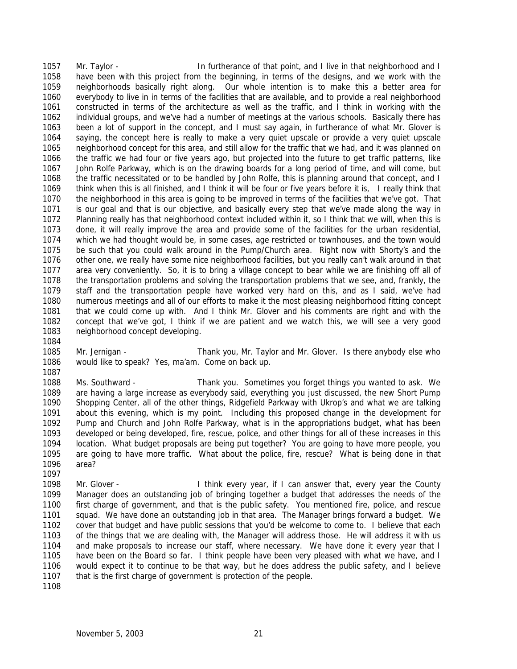1057 Mr. Taylor - In furtherance of that point, and I live in that neighborhood and I have been with this project from the beginning, in terms of the designs, and we work with the neighborhoods basically right along. Our whole intention is to make this a better area for everybody to live in in terms of the facilities that are available, and to provide a real neighborhood constructed in terms of the architecture as well as the traffic, and I think in working with the individual groups, and we've had a number of meetings at the various schools. Basically there has been a lot of support in the concept, and I must say again, in furtherance of what Mr. Glover is saying, the concept here is really to make a very quiet upscale or provide a very quiet upscale neighborhood concept for this area, and still allow for the traffic that we had, and it was planned on the traffic we had four or five years ago, but projected into the future to get traffic patterns, like John Rolfe Parkway, which is on the drawing boards for a long period of time, and will come, but the traffic necessitated or to be handled by John Rolfe, this is planning around that concept, and I think when this is all finished, and I think it will be four or five years before it is, I really think that the neighborhood in this area is going to be improved in terms of the facilities that we've got. That is our goal and that is our objective, and basically every step that we've made along the way in Planning really has that neighborhood context included within it, so I think that we will, when this is done, it will really improve the area and provide some of the facilities for the urban residential, which we had thought would be, in some cases, age restricted or townhouses, and the town would be such that you could walk around in the Pump/Church area. Right now with Shorty's and the other one, we really have some nice neighborhood facilities, but you really can't walk around in that area very conveniently. So, it is to bring a village concept to bear while we are finishing off all of the transportation problems and solving the transportation problems that we see, and, frankly, the staff and the transportation people have worked very hard on this, and as I said, we've had numerous meetings and all of our efforts to make it the most pleasing neighborhood fitting concept that we could come up with. And I think Mr. Glover and his comments are right and with the concept that we've got, I think if we are patient and we watch this, we will see a very good neighborhood concept developing.

 Mr. Jernigan - Thank you, Mr. Taylor and Mr. Glover. Is there anybody else who would like to speak? Yes, ma'am. Come on back up.

 Ms. Southward - Thank you. Sometimes you forget things you wanted to ask. We are having a large increase as everybody said, everything you just discussed, the new Short Pump Shopping Center, all of the other things, Ridgefield Parkway with Ukrop's and what we are talking about this evening, which is my point. Including this proposed change in the development for Pump and Church and John Rolfe Parkway, what is in the appropriations budget, what has been developed or being developed, fire, rescue, police, and other things for all of these increases in this location. What budget proposals are being put together? You are going to have more people, you are going to have more traffic. What about the police, fire, rescue? What is being done in that area?

 Mr. Glover - I think every year, if I can answer that, every year the County Manager does an outstanding job of bringing together a budget that addresses the needs of the first charge of government, and that is the public safety. You mentioned fire, police, and rescue squad. We have done an outstanding job in that area. The Manager brings forward a budget. We cover that budget and have public sessions that you'd be welcome to come to. I believe that each of the things that we are dealing with, the Manager will address those. He will address it with us and make proposals to increase our staff, where necessary. We have done it every year that I have been on the Board so far. I think people have been very pleased with what we have, and I would expect it to continue to be that way, but he does address the public safety, and I believe that is the first charge of government is protection of the people.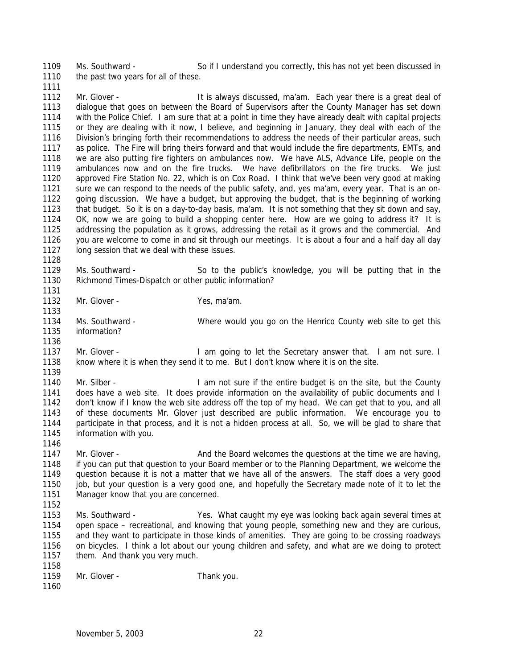Ms. Southward - So if I understand you correctly, this has not yet been discussed in 1110 the past two years for all of these.

1112 Mr. Glover - It is always discussed, ma'am. Each year there is a great deal of dialogue that goes on between the Board of Supervisors after the County Manager has set down with the Police Chief. I am sure that at a point in time they have already dealt with capital projects or they are dealing with it now, I believe, and beginning in January, they deal with each of the Division's bringing forth their recommendations to address the needs of their particular areas, such as police. The Fire will bring theirs forward and that would include the fire departments, EMTs, and we are also putting fire fighters on ambulances now. We have ALS, Advance Life, people on the ambulances now and on the fire trucks. We have defibrillators on the fire trucks. We just approved Fire Station No. 22, which is on Cox Road. I think that we've been very good at making sure we can respond to the needs of the public safety, and, yes ma'am, every year. That is an on- going discussion. We have a budget, but approving the budget, that is the beginning of working that budget. So it is on a day-to-day basis, ma'am. It is not something that they sit down and say, OK, now we are going to build a shopping center here. How are we going to address it? It is addressing the population as it grows, addressing the retail as it grows and the commercial. And you are welcome to come in and sit through our meetings. It is about a four and a half day all day long session that we deal with these issues.

 Ms. Southward - So to the public's knowledge, you will be putting that in the *Richmond Times-Dispatch* or other public information?

1132 Mr. Glover - Yes, ma'am.

 Ms. Southward - Where would you go on the Henrico County web site to get this information? 

1137 Mr. Glover - I am going to let the Secretary answer that. I am not sure. I know where it is when they send it to me. But I don't know where it is on the site. 

1140 Mr. Silber - I am not sure if the entire budget is on the site, but the County does have a web site. It does provide information on the availability of public documents and I don't know if I know the web site address off the top of my head. We can get that to you, and all of these documents Mr. Glover just described are public information. We encourage you to participate in that process, and it is not a hidden process at all. So, we will be glad to share that information with you.

1147 Mr. Glover - And the Board welcomes the questions at the time we are having, if you can put that question to your Board member or to the Planning Department, we welcome the question because it is not a matter that we have all of the answers. The staff does a very good 1150 job, but your question is a very good one, and hopefully the Secretary made note of it to let the 1151 Manager know that you are concerned.

 Ms. Southward - Yes. What caught my eye was looking back again several times at open space – recreational, and knowing that young people, something new and they are curious, and they want to participate in those kinds of amenities. They are going to be crossing roadways on bicycles. I think a lot about our young children and safety, and what are we doing to protect 1157 them. And thank you very much. 

| ,,,,, |              |            |
|-------|--------------|------------|
| 1159  | Mr. Glover - | Thank you. |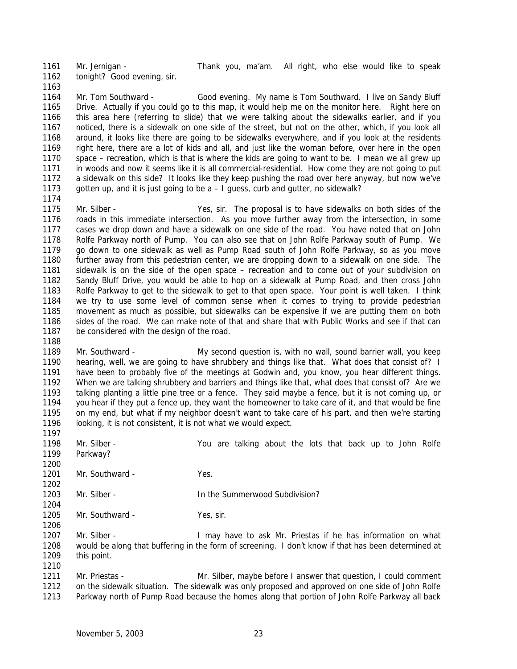Mr. Jernigan - Thank you, ma'am. All right, who else would like to speak tonight? Good evening, sir.

 Mr. Tom Southward - Good evening. My name is Tom Southward. I live on Sandy Bluff Drive. Actually if you could go to this map, it would help me on the monitor here. Right here on this area here (referring to slide) that we were talking about the sidewalks earlier, and if you noticed, there is a sidewalk on one side of the street, but not on the other, which, if you look all around, it looks like there are going to be sidewalks everywhere, and if you look at the residents right here, there are a lot of kids and all, and just like the woman before, over here in the open space – recreation, which is that is where the kids are going to want to be. I mean we all grew up in woods and now it seems like it is all commercial-residential. How come they are not going to put a sidewalk on this side? It looks like they keep pushing the road over here anyway, but now we've gotten up, and it is just going to be a – I guess, curb and gutter, no sidewalk?

 Mr. Silber - Yes, sir. The proposal is to have sidewalks on both sides of the roads in this immediate intersection. As you move further away from the intersection, in some cases we drop down and have a sidewalk on one side of the road. You have noted that on John Rolfe Parkway north of Pump. You can also see that on John Rolfe Parkway south of Pump. We go down to one sidewalk as well as Pump Road south of John Rolfe Parkway, so as you move further away from this pedestrian center, we are dropping down to a sidewalk on one side. The sidewalk is on the side of the open space – recreation and to come out of your subdivision on Sandy Bluff Drive, you would be able to hop on a sidewalk at Pump Road, and then cross John Rolfe Parkway to get to the sidewalk to get to that open space. Your point is well taken. I think we try to use some level of common sense when it comes to trying to provide pedestrian movement as much as possible, but sidewalks can be expensive if we are putting them on both sides of the road. We can make note of that and share that with Public Works and see if that can be considered with the design of the road.

 Mr. Southward - My second question is, with no wall, sound barrier wall, you keep hearing, well, we are going to have shrubbery and things like that. What does that consist of? I have been to probably five of the meetings at Godwin and, you know, you hear different things. When we are talking shrubbery and barriers and things like that, what does that consist of? Are we talking planting a little pine tree or a fence. They said maybe a fence, but it is not coming up, or you hear if they put a fence up, they want the homeowner to take care of it, and that would be fine on my end, but what if my neighbor doesn't want to take care of his part, and then we're starting 1196 looking, it is not consistent, it is not what we would expect. 

- Mr. Silber You are talking about the lots that back up to John Rolfe Parkway?
- 1201 Mr. Southward Yes.
- 1203 Mr. Silber In the Summerwood Subdivision?
- 1205 Mr. Southward Yes, sir.

 Mr. Silber - I may have to ask Mr. Priestas if he has information on what would be along that buffering in the form of screening. I don't know if that has been determined at this point.

 Mr. Priestas - Mr. Silber, maybe before I answer that question, I could comment on the sidewalk situation. The sidewalk was only proposed and approved on one side of John Rolfe Parkway north of Pump Road because the homes along that portion of John Rolfe Parkway all back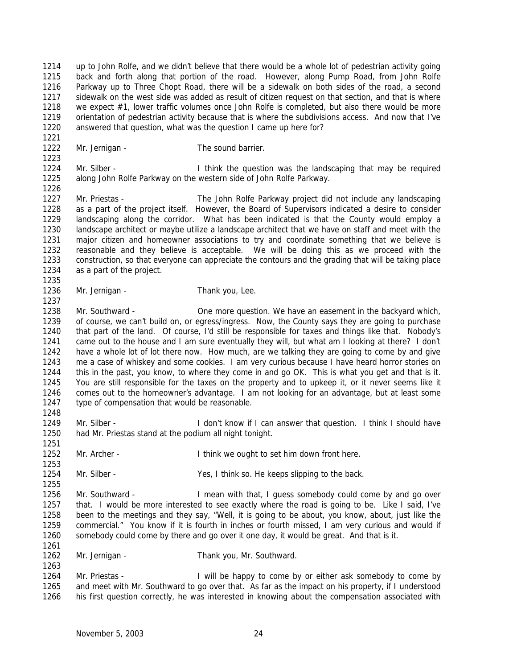up to John Rolfe, and we didn't believe that there would be a whole lot of pedestrian activity going back and forth along that portion of the road. However, along Pump Road, from John Rolfe Parkway up to Three Chopt Road, there will be a sidewalk on both sides of the road, a second sidewalk on the west side was added as result of citizen request on that section, and that is where we expect #1, lower traffic volumes once John Rolfe is completed, but also there would be more orientation of pedestrian activity because that is where the subdivisions access. And now that I've answered that question, what was the question I came up here for?

1222 Mr. Jernigan - The sound barrier.

1224 Mr. Silber - Think the question was the landscaping that may be required along John Rolfe Parkway on the western side of John Rolfe Parkway.

 Mr. Priestas - The John Rolfe Parkway project did not include any landscaping as a part of the project itself. However, the Board of Supervisors indicated a desire to consider landscaping along the corridor. What has been indicated is that the County would employ a landscape architect or maybe utilize a landscape architect that we have on staff and meet with the major citizen and homeowner associations to try and coordinate something that we believe is reasonable and they believe is acceptable. We will be doing this as we proceed with the construction, so that everyone can appreciate the contours and the grading that will be taking place as a part of the project. 

1236 Mr. Jernigan - Thank you, Lee.

1238 Mr. Southward - One more question. We have an easement in the backyard which, of course, we can't build on, or egress/ingress. Now, the County says they are going to purchase that part of the land. Of course, I'd still be responsible for taxes and things like that. Nobody's came out to the house and I am sure eventually they will, but what am I looking at there? I don't have a whole lot of lot there now. How much, are we talking they are going to come by and give me a case of whiskey and some cookies. I am very curious because I have heard horror stories on this in the past, you know, to where they come in and go OK. This is what you get and that is it. You are still responsible for the taxes on the property and to upkeep it, or it never seems like it comes out to the homeowner's advantage. I am not looking for an advantage, but at least some type of compensation that would be reasonable.

1249 Mr. Silber - I don't know if I can answer that question. I think I should have had Mr. Priestas stand at the podium all night tonight.

Mr. Archer - I think we ought to set him down front here.

1254 Mr. Silber - Yes, I think so. He keeps slipping to the back.

 Mr. Southward - I mean with that, I guess somebody could come by and go over that. I would be more interested to see exactly where the road is going to be. Like I said, I've been to the meetings and they say, "Well, it is going to be about, you know, about, just like the commercial." You know if it is fourth in inches or fourth missed, I am very curious and would if somebody could come by there and go over it one day, it would be great. And that is it.

Mr. Jernigan - Thank you, Mr. Southward.

1264 Mr. Priestas - I will be happy to come by or either ask somebody to come by and meet with Mr. Southward to go over that. As far as the impact on his property, if I understood his first question correctly, he was interested in knowing about the compensation associated with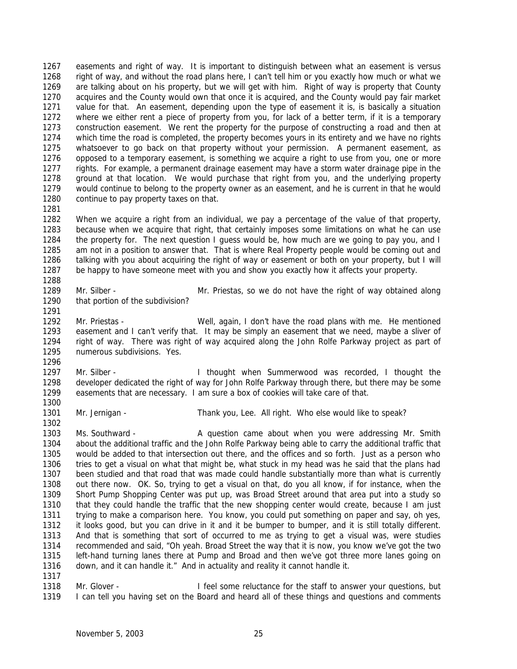easements and right of way. It is important to distinguish between what an easement is versus right of way, and without the road plans here, I can't tell him or you exactly how much or what we are talking about on his property, but we will get with him. Right of way is property that County acquires and the County would own that once it is acquired, and the County would pay fair market value for that. An easement, depending upon the type of easement it is, is basically a situation where we either rent a piece of property from you, for lack of a better term, if it is a temporary construction easement. We rent the property for the purpose of constructing a road and then at which time the road is completed, the property becomes yours in its entirety and we have no rights whatsoever to go back on that property without your permission. A permanent easement, as opposed to a temporary easement, is something we acquire a right to use from you, one or more rights. For example, a permanent drainage easement may have a storm water drainage pipe in the ground at that location. We would purchase that right from you, and the underlying property would continue to belong to the property owner as an easement, and he is current in that he would 1280 continue to pay property taxes on that.

 When we acquire a right from an individual, we pay a percentage of the value of that property, because when we acquire that right, that certainly imposes some limitations on what he can use the property for. The next question I guess would be, how much are we going to pay you, and I am not in a position to answer that. That is where Real Property people would be coming out and talking with you about acquiring the right of way or easement or both on your property, but I will be happy to have someone meet with you and show you exactly how it affects your property.

- Mr. Silber Mr. Priestas, so we do not have the right of way obtained along that portion of the subdivision?
- Mr. Priestas Well, again, I don't have the road plans with me. He mentioned easement and I can't verify that. It may be simply an easement that we need, maybe a sliver of right of way. There was right of way acquired along the John Rolfe Parkway project as part of numerous subdivisions. Yes.
- Mr. Silber I thought when Summerwood was recorded, I thought the developer dedicated the right of way for John Rolfe Parkway through there, but there may be some easements that are necessary. I am sure a box of cookies will take care of that.
- Mr. Jernigan Thank you, Lee. All right. Who else would like to speak?
- Ms. Southward A question came about when you were addressing Mr. Smith about the additional traffic and the John Rolfe Parkway being able to carry the additional traffic that would be added to that intersection out there, and the offices and so forth. Just as a person who tries to get a visual on what that might be, what stuck in my head was he said that the plans had been studied and that road that was made could handle substantially more than what is currently out there now. OK. So, trying to get a visual on that, do you all know, if for instance, when the Short Pump Shopping Center was put up, was Broad Street around that area put into a study so that they could handle the traffic that the new shopping center would create, because I am just trying to make a comparison here. You know, you could put something on paper and say, oh yes, it looks good, but you can drive in it and it be bumper to bumper, and it is still totally different. And that is something that sort of occurred to me as trying to get a visual was, were studies recommended and said, "Oh yeah. Broad Street the way that it is now, you know we've got the two left-hand turning lanes there at Pump and Broad and then we've got three more lanes going on down, and it can handle it." And in actuality and reality it cannot handle it.
- 

1318 Mr. Glover - I feel some reluctance for the staff to answer your questions, but I can tell you having set on the Board and heard all of these things and questions and comments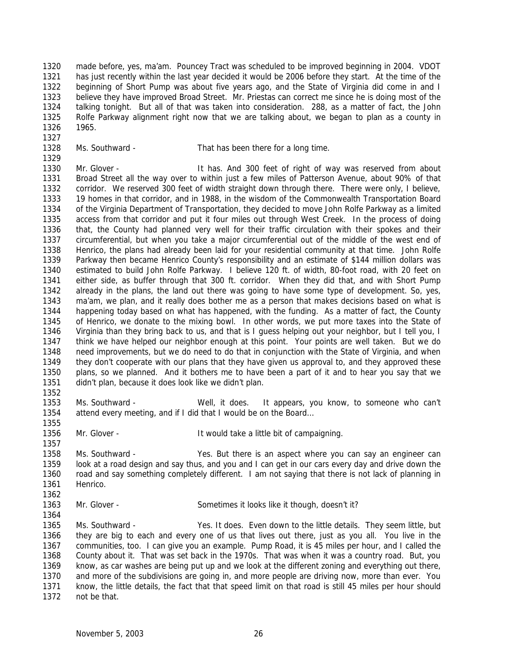made before, yes, ma'am. Pouncey Tract was scheduled to be improved beginning in 2004. VDOT has just recently within the last year decided it would be 2006 before they start. At the time of the beginning of Short Pump was about five years ago, and the State of Virginia did come in and I believe they have improved Broad Street. Mr. Priestas can correct me since he is doing most of the talking tonight. But all of that was taken into consideration. 288, as a matter of fact, the John Rolfe Parkway alignment right now that we are talking about, we began to plan as a county in 1965.

Ms. Southward - That has been there for a long time.

1330 Mr. Glover - The Music Hit has. And 300 feet of right of way was reserved from about Broad Street all the way over to within just a few miles of Patterson Avenue, about 90% of that corridor. We reserved 300 feet of width straight down through there. There were only, I believe, 19 homes in that corridor, and in 1988, in the wisdom of the Commonwealth Transportation Board of the Virginia Department of Transportation, they decided to move John Rolfe Parkway as a limited access from that corridor and put it four miles out through West Creek. In the process of doing that, the County had planned very well for their traffic circulation with their spokes and their circumferential, but when you take a major circumferential out of the middle of the west end of Henrico, the plans had already been laid for your residential community at that time. John Rolfe Parkway then became Henrico County's responsibility and an estimate of \$144 million dollars was estimated to build John Rolfe Parkway. I believe 120 ft. of width, 80-foot road, with 20 feet on either side, as buffer through that 300 ft. corridor. When they did that, and with Short Pump already in the plans, the land out there was going to have some type of development. So, yes, ma'am, we plan, and it really does bother me as a person that makes decisions based on what is happening today based on what has happened, with the funding. As a matter of fact, the County of Henrico, we donate to the mixing bowl. In other words, we put more taxes into the State of Virginia than they bring back to us, and that is I guess helping out your neighbor, but I tell you, I think we have helped our neighbor enough at this point. Your points are well taken. But we do need improvements, but we do need to do that in conjunction with the State of Virginia, and when they don't cooperate with our plans that they have given us approval to, and they approved these plans, so we planned. And it bothers me to have been a part of it and to hear you say that we didn't plan, because it does look like we didn't plan.

 Ms. Southward - Well, it does. It appears, you know, to someone who can't attend every meeting, and if I did that I would be on the Board…

1356 Mr. Glover - It would take a little bit of campaigning.

 Ms. Southward - Yes. But there is an aspect where you can say an engineer can look at a road design and say thus, and you and I can get in our cars every day and drive down the

- road and say something completely different. I am not saying that there is not lack of planning in Henrico.
- Mr. Glover Sometimes it looks like it though, doesn't it?

 Ms. Southward - Yes. It does. Even down to the little details. They seem little, but they are big to each and every one of us that lives out there, just as you all. You live in the communities, too. I can give you an example. Pump Road, it is 45 miles per hour, and I called the County about it. That was set back in the 1970s. That was when it was a country road. But, you know, as car washes are being put up and we look at the different zoning and everything out there, and more of the subdivisions are going in, and more people are driving now, more than ever. You know, the little details, the fact that that speed limit on that road is still 45 miles per hour should not be that.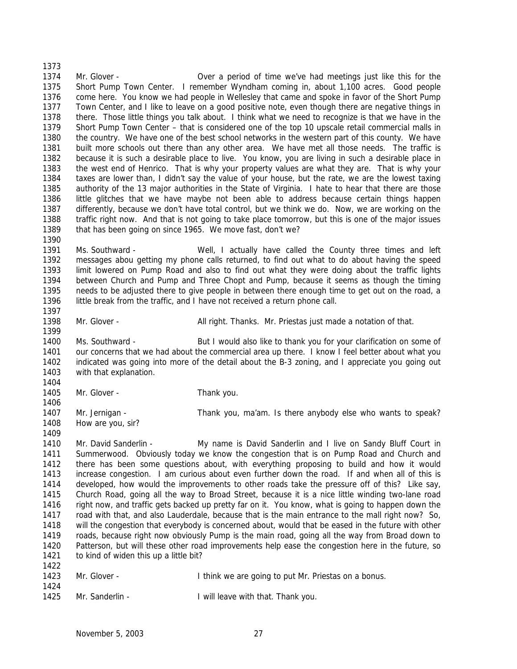Mr. Glover - Over a period of time we've had meetings just like this for the Short Pump Town Center. I remember Wyndham coming in, about 1,100 acres. Good people come here. You know we had people in Wellesley that came and spoke in favor of the Short Pump Town Center, and I like to leave on a good positive note, even though there are negative things in there. Those little things you talk about. I think what we need to recognize is that we have in the Short Pump Town Center – that is considered one of the top 10 upscale retail commercial malls in the country. We have one of the best school networks in the western part of this county. We have built more schools out there than any other area. We have met all those needs. The traffic is because it is such a desirable place to live. You know, you are living in such a desirable place in the west end of Henrico. That is why your property values are what they are. That is why your taxes are lower than, I didn't say the value of your house, but the rate, we are the lowest taxing authority of the 13 major authorities in the State of Virginia. I hate to hear that there are those little glitches that we have maybe not been able to address because certain things happen differently, because we don't have total control, but we think we do. Now, we are working on the traffic right now. And that is not going to take place tomorrow, but this is one of the major issues that has been going on since 1965. We move fast, don't we?

 Ms. Southward - Well, I actually have called the County three times and left messages abou getting my phone calls returned, to find out what to do about having the speed limit lowered on Pump Road and also to find out what they were doing about the traffic lights between Church and Pump and Three Chopt and Pump, because it seems as though the timing needs to be adjusted there to give people in between there enough time to get out on the road, a little break from the traffic, and I have not received a return phone call. 

1398 Mr. Glover - All right. Thanks. Mr. Priestas just made a notation of that. 

 Ms. Southward - But I would also like to thank you for your clarification on some of our concerns that we had about the commercial area up there. I know I feel better about what you 1402 indicated was going into more of the detail about the B-3 zoning, and I appreciate you going out with that explanation. 

1405 Mr. Glover - Thank you.

1407 Mr. Jernigan - Thank you, ma'am. Is there anybody else who wants to speak? 1408 How are you, sir?

 Mr. David Sanderlin - My name is David Sanderlin and I live on Sandy Bluff Court in Summerwood. Obviously today we know the congestion that is on Pump Road and Church and there has been some questions about, with everything proposing to build and how it would increase congestion. I am curious about even further down the road. If and when all of this is developed, how would the improvements to other roads take the pressure off of this? Like say, Church Road, going all the way to Broad Street, because it is a nice little winding two-lane road right now, and traffic gets backed up pretty far on it. You know, what is going to happen down the road with that, and also Lauderdale, because that is the main entrance to the mall right now? So, will the congestion that everybody is concerned about, would that be eased in the future with other roads, because right now obviously Pump is the main road, going all the way from Broad down to Patterson, but will these other road improvements help ease the congestion here in the future, so 1421 to kind of widen this up a little bit? 

| 1423 | Mr. Glover - | I think we are going to put Mr. Priestas on a bonus. |
|------|--------------|------------------------------------------------------|
| 1424 |              |                                                      |

Mr. Sanderlin - I will leave with that. Thank you.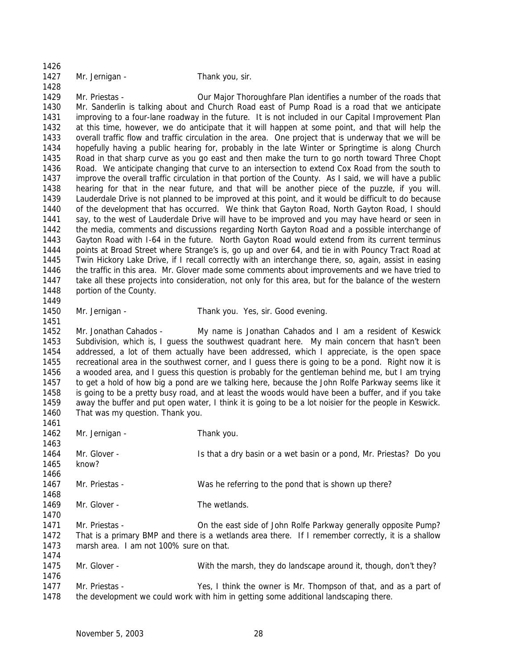| 1426<br>1427<br>1428 | Mr. Jernigan -                                                                                                                                                                                                                                                                                                    | Thank you, sir.                                                                                        |  |  |  |  |  |  |
|----------------------|-------------------------------------------------------------------------------------------------------------------------------------------------------------------------------------------------------------------------------------------------------------------------------------------------------------------|--------------------------------------------------------------------------------------------------------|--|--|--|--|--|--|
| 1429<br>1430         | Mr. Priestas -<br>Our Major Thoroughfare Plan identifies a number of the roads that<br>Mr. Sanderlin is talking about and Church Road east of Pump Road is a road that we anticipate                                                                                                                              |                                                                                                        |  |  |  |  |  |  |
| 1431<br>1432<br>1433 | improving to a four-lane roadway in the future. It is not included in our Capital Improvement Plan<br>at this time, however, we do anticipate that it will happen at some point, and that will help the<br>overall traffic flow and traffic circulation in the area. One project that is underway that we will be |                                                                                                        |  |  |  |  |  |  |
| 1434                 | hopefully having a public hearing for, probably in the late Winter or Springtime is along Church                                                                                                                                                                                                                  |                                                                                                        |  |  |  |  |  |  |
| 1435                 |                                                                                                                                                                                                                                                                                                                   | Road in that sharp curve as you go east and then make the turn to go north toward Three Chopt          |  |  |  |  |  |  |
| 1436                 | Road. We anticipate changing that curve to an intersection to extend Cox Road from the south to                                                                                                                                                                                                                   |                                                                                                        |  |  |  |  |  |  |
| 1437                 | improve the overall traffic circulation in that portion of the County. As I said, we will have a public                                                                                                                                                                                                           |                                                                                                        |  |  |  |  |  |  |
| 1438                 | hearing for that in the near future, and that will be another piece of the puzzle, if you will.<br>Lauderdale Drive is not planned to be improved at this point, and it would be difficult to do because                                                                                                          |                                                                                                        |  |  |  |  |  |  |
| 1439<br>1440         | of the development that has occurred. We think that Gayton Road, North Gayton Road, I should                                                                                                                                                                                                                      |                                                                                                        |  |  |  |  |  |  |
| 1441                 |                                                                                                                                                                                                                                                                                                                   | say, to the west of Lauderdale Drive will have to be improved and you may have heard or seen in        |  |  |  |  |  |  |
| 1442                 |                                                                                                                                                                                                                                                                                                                   | the media, comments and discussions regarding North Gayton Road and a possible interchange of          |  |  |  |  |  |  |
| 1443                 |                                                                                                                                                                                                                                                                                                                   | Gayton Road with I-64 in the future. North Gayton Road would extend from its current terminus          |  |  |  |  |  |  |
| 1444                 |                                                                                                                                                                                                                                                                                                                   | points at Broad Street where Strange's is, go up and over 64, and tie in with Pouncy Tract Road at     |  |  |  |  |  |  |
| 1445                 |                                                                                                                                                                                                                                                                                                                   | Twin Hickory Lake Drive, if I recall correctly with an interchange there, so, again, assist in easing  |  |  |  |  |  |  |
| 1446                 |                                                                                                                                                                                                                                                                                                                   | the traffic in this area. Mr. Glover made some comments about improvements and we have tried to        |  |  |  |  |  |  |
| 1447                 |                                                                                                                                                                                                                                                                                                                   | take all these projects into consideration, not only for this area, but for the balance of the western |  |  |  |  |  |  |
| 1448                 | portion of the County.                                                                                                                                                                                                                                                                                            |                                                                                                        |  |  |  |  |  |  |
| 1449                 |                                                                                                                                                                                                                                                                                                                   |                                                                                                        |  |  |  |  |  |  |
| 1450                 | Mr. Jernigan -                                                                                                                                                                                                                                                                                                    | Thank you. Yes, sir. Good evening.                                                                     |  |  |  |  |  |  |
| 1451                 |                                                                                                                                                                                                                                                                                                                   |                                                                                                        |  |  |  |  |  |  |
| 1452                 | Mr. Jonathan Cahados -                                                                                                                                                                                                                                                                                            | My name is Jonathan Cahados and I am a resident of Keswick                                             |  |  |  |  |  |  |
| 1453<br>1454<br>1455 | Subdivision, which is, I guess the southwest quadrant here. My main concern that hasn't been<br>addressed, a lot of them actually have been addressed, which I appreciate, is the open space                                                                                                                      |                                                                                                        |  |  |  |  |  |  |
| 1456                 | recreational area in the southwest corner, and I guess there is going to be a pond. Right now it is<br>a wooded area, and I guess this question is probably for the gentleman behind me, but I am trying                                                                                                          |                                                                                                        |  |  |  |  |  |  |
| 1457                 |                                                                                                                                                                                                                                                                                                                   | to get a hold of how big a pond are we talking here, because the John Rolfe Parkway seems like it      |  |  |  |  |  |  |
| 1458                 |                                                                                                                                                                                                                                                                                                                   | is going to be a pretty busy road, and at least the woods would have been a buffer, and if you take    |  |  |  |  |  |  |
| 1459                 |                                                                                                                                                                                                                                                                                                                   | away the buffer and put open water, I think it is going to be a lot noisier for the people in Keswick. |  |  |  |  |  |  |
| 1460                 | That was my question. Thank you.                                                                                                                                                                                                                                                                                  |                                                                                                        |  |  |  |  |  |  |
| 1461                 |                                                                                                                                                                                                                                                                                                                   |                                                                                                        |  |  |  |  |  |  |
| 1462                 | Mr. Jernigan -                                                                                                                                                                                                                                                                                                    | Thank you.                                                                                             |  |  |  |  |  |  |
| 1463                 |                                                                                                                                                                                                                                                                                                                   |                                                                                                        |  |  |  |  |  |  |
| 1464                 | Mr. Glover -                                                                                                                                                                                                                                                                                                      | Is that a dry basin or a wet basin or a pond, Mr. Priestas? Do you                                     |  |  |  |  |  |  |
| 1465                 | know?                                                                                                                                                                                                                                                                                                             |                                                                                                        |  |  |  |  |  |  |
| 1466                 |                                                                                                                                                                                                                                                                                                                   |                                                                                                        |  |  |  |  |  |  |
| 1467                 | Mr. Priestas -                                                                                                                                                                                                                                                                                                    | Was he referring to the pond that is shown up there?                                                   |  |  |  |  |  |  |
| 1468<br>1469         | Mr. Glover -                                                                                                                                                                                                                                                                                                      | The wetlands.                                                                                          |  |  |  |  |  |  |
| 1470                 |                                                                                                                                                                                                                                                                                                                   |                                                                                                        |  |  |  |  |  |  |
| 1471                 | Mr. Priestas -                                                                                                                                                                                                                                                                                                    | On the east side of John Rolfe Parkway generally opposite Pump?                                        |  |  |  |  |  |  |
| 1472                 |                                                                                                                                                                                                                                                                                                                   | That is a primary BMP and there is a wetlands area there. If I remember correctly, it is a shallow     |  |  |  |  |  |  |
| 1473                 | marsh area. I am not 100% sure on that.                                                                                                                                                                                                                                                                           |                                                                                                        |  |  |  |  |  |  |
| 1474                 |                                                                                                                                                                                                                                                                                                                   |                                                                                                        |  |  |  |  |  |  |
| 1475                 | Mr. Glover -                                                                                                                                                                                                                                                                                                      | With the marsh, they do landscape around it, though, don't they?                                       |  |  |  |  |  |  |
| 1476                 |                                                                                                                                                                                                                                                                                                                   |                                                                                                        |  |  |  |  |  |  |
| 1477                 | Mr. Priestas -                                                                                                                                                                                                                                                                                                    | Yes, I think the owner is Mr. Thompson of that, and as a part of                                       |  |  |  |  |  |  |
| 1478                 |                                                                                                                                                                                                                                                                                                                   | the development we could work with him in getting some additional landscaping there.                   |  |  |  |  |  |  |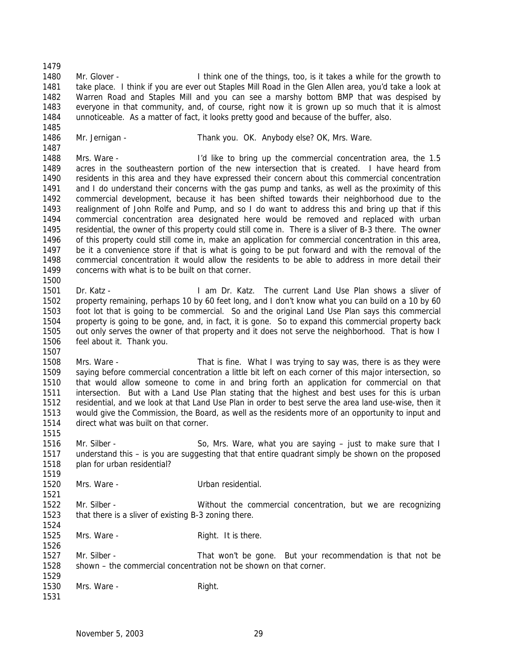1480 Mr. Glover - I think one of the things, too, is it takes a while for the growth to 1481 take place. I think if you are ever out Staples Mill Road in the Glen Allen area, you'd take a look at Warren Road and Staples Mill and you can see a marshy bottom BMP that was despised by everyone in that community, and, of course, right now it is grown up so much that it is almost unnoticeable. As a matter of fact, it looks pretty good and because of the buffer, also.

1486 Mr. Jernigan - Thank you. OK. Anybody else? OK, Mrs. Ware.

- Mrs. Ware I'd like to bring up the commercial concentration area, the 1.5 acres in the southeastern portion of the new intersection that is created. I have heard from residents in this area and they have expressed their concern about this commercial concentration and I do understand their concerns with the gas pump and tanks, as well as the proximity of this commercial development, because it has been shifted towards their neighborhood due to the realignment of John Rolfe and Pump, and so I do want to address this and bring up that if this commercial concentration area designated here would be removed and replaced with urban residential, the owner of this property could still come in. There is a sliver of B-3 there. The owner of this property could still come in, make an application for commercial concentration in this area, be it a convenience store if that is what is going to be put forward and with the removal of the commercial concentration it would allow the residents to be able to address in more detail their concerns with what is to be built on that corner.
- Dr. Katz I am Dr. Katz. The current Land Use Plan shows a sliver of property remaining, perhaps 10 by 60 feet long, and I don't know what you can build on a 10 by 60 foot lot that is going to be commercial. So and the original Land Use Plan says this commercial property is going to be gone, and, in fact, it is gone. So to expand this commercial property back out only serves the owner of that property and it does not serve the neighborhood. That is how I feel about it. Thank you.
- Mrs. Ware That is fine. What I was trying to say was, there is as they were saying before commercial concentration a little bit left on each corner of this major intersection, so that would allow someone to come in and bring forth an application for commercial on that intersection. But with a Land Use Plan stating that the highest and best uses for this is urban residential, and we look at that Land Use Plan in order to best serve the area land use-wise, then it would give the Commission, the Board, as well as the residents more of an opportunity to input and direct what was built on that corner.
- 1516 Mr. Silber So, Mrs. Ware, what you are saying just to make sure that I understand this – is you are suggesting that that entire quadrant simply be shown on the proposed plan for urban residential?
- Mrs. Ware - Urban residential. Mr. Silber - Without the commercial concentration, but we are recognizing that there is a sliver of existing B-3 zoning there. 1525 Mrs. Ware - Right. It is there. Mr. Silber - That won't be gone. But your recommendation is that not be shown – the commercial concentration not be shown on that corner. 1530 Mrs. Ware - Right.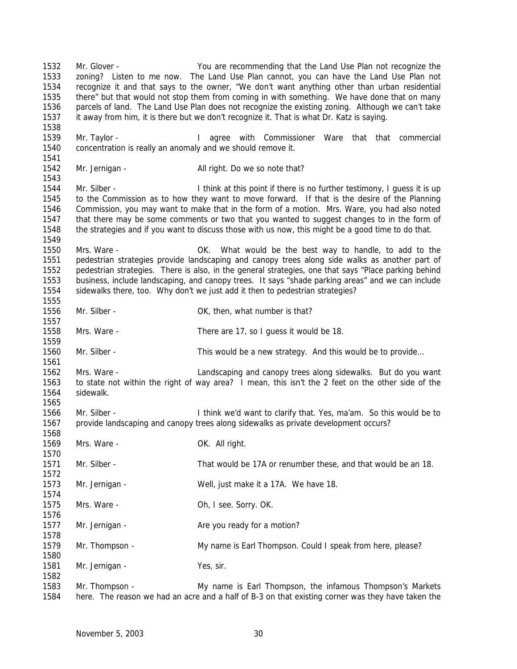Mr. Glover - You are recommending that the Land Use Plan not recognize the zoning? Listen to me now. The Land Use Plan cannot, you can have the Land Use Plan not recognize it and that says to the owner, "We don't want anything other than urban residential there" but that would not stop them from coming in with something. We have done that on many parcels of land. The Land Use Plan does not recognize the existing zoning. Although we can't take it away from him, it is there but we don't recognize it. That is what Dr. Katz is saying. 1539 Mr. Taylor - The Magree with Commissioner Ware that that commercial concentration is really an anomaly and we should remove it. 1542 Mr. Jernigan - All right. Do we so note that? 1544 Mr. Silber - I think at this point if there is no further testimony, I guess it is up to the Commission as to how they want to move forward. If that is the desire of the Planning Commission, you may want to make that in the form of a motion. Mrs. Ware, you had also noted that there may be some comments or two that you wanted to suggest changes to in the form of the strategies and if you want to discuss those with us now, this might be a good time to do that. Mrs. Ware - OK. What would be the best way to handle, to add to the pedestrian strategies provide landscaping and canopy trees along side walks as another part of pedestrian strategies. There is also, in the general strategies, one that says "Place parking behind business, include landscaping, and canopy trees. It says "shade parking areas" and we can include sidewalks there, too. Why don't we just add it then to pedestrian strategies? 1556 Mr. Silber - Carrier Controller, what number is that? Mrs. Ware - There are 17, so I guess it would be 18. 1560 Mr. Silber - This would be a new strategy. And this would be to provide... Mrs. Ware - Landscaping and canopy trees along sidewalks. But do you want to state not within the right of way area? I mean, this isn't the 2 feet on the other side of the sidewalk. 1566 Mr. Silber - I think we'd want to clarify that. Yes, ma'am. So this would be to provide landscaping and canopy trees along sidewalks as private development occurs? 1569 Mrs. Ware - Cassic Communication Communication Communication Communication OK. All right. Mr. Silber - That would be 17A or renumber these, and that would be an 18. Mr. Jernigan - Well, just make it a 17A. We have 18. Mrs. Ware - Oh, I see. Sorry. OK. 1577 Mr. Jernigan - Are you ready for a motion? Mr. Thompson - My name is Earl Thompson. Could I speak from here, please? 1581 Mr. Jernigan - Yes, sir. Mr. Thompson - My name is Earl Thompson, the infamous Thompson's Markets here. The reason we had an acre and a half of B-3 on that existing corner was they have taken the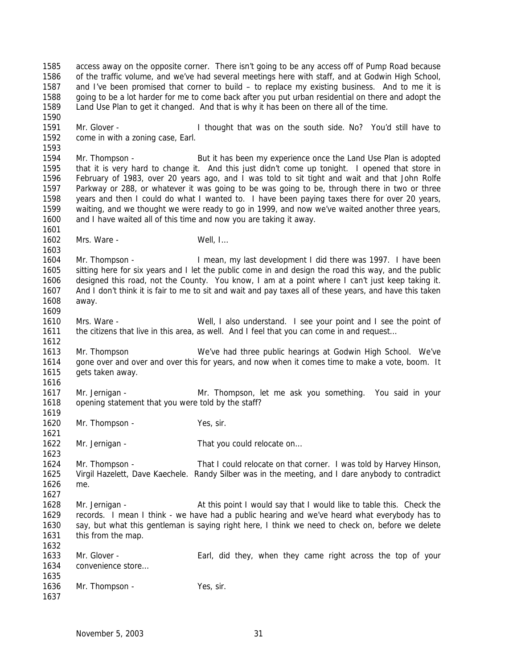access away on the opposite corner. There isn't going to be any access off of Pump Road because of the traffic volume, and we've had several meetings here with staff, and at Godwin High School, and I've been promised that corner to build – to replace my existing business. And to me it is going to be a lot harder for me to come back after you put urban residential on there and adopt the Land Use Plan to get it changed. And that is why it has been on there all of the time.

 Mr. Glover - I thought that was on the south side. No? You'd still have to come in with a zoning case, Earl.

 Mr. Thompson - But it has been my experience once the Land Use Plan is adopted that it is very hard to change it. And this just didn't come up tonight. I opened that store in February of 1983, over 20 years ago, and I was told to sit tight and wait and that John Rolfe Parkway or 288, or whatever it was going to be was going to be, through there in two or three years and then I could do what I wanted to. I have been paying taxes there for over 20 years, waiting, and we thought we were ready to go in 1999, and now we've waited another three years, and I have waited all of this time and now you are taking it away.

1602 Mrs. Ware - Well, I...

1604 Mr. Thompson - Imean, my last development I did there was 1997. I have been sitting here for six years and I let the public come in and design the road this way, and the public designed this road, not the County. You know, I am at a point where I can't just keep taking it. And I don't think it is fair to me to sit and wait and pay taxes all of these years, and have this taken away. 

 Mrs. Ware - Well, I also understand. I see your point and I see the point of 1611 the citizens that live in this area, as well. And I feel that you can come in and request...

 Mr. Thompson We've had three public hearings at Godwin High School. We've gone over and over and over this for years, and now when it comes time to make a vote, boom. It gets taken away. 

 Mr. Jernigan - Mr. Thompson, let me ask you something. You said in your opening statement that you were told by the staff?

1620 Mr. Thompson - Yes, sir.

1622 Mr. Jernigan - That you could relocate on...

 Mr. Thompson - That I could relocate on that corner. I was told by Harvey Hinson, Virgil Hazelett, Dave Kaechele. Randy Silber was in the meeting, and I dare anybody to contradict me. 

1628 Mr. Jernigan - At this point I would say that I would like to table this. Check the records. I mean I think - we have had a public hearing and we've heard what everybody has to say, but what this gentleman is saying right here, I think we need to check on, before we delete this from the map. 

 Mr. Glover - Earl, did they, when they came right across the top of your convenience store… 1636 Mr. Thompson - Yes, sir.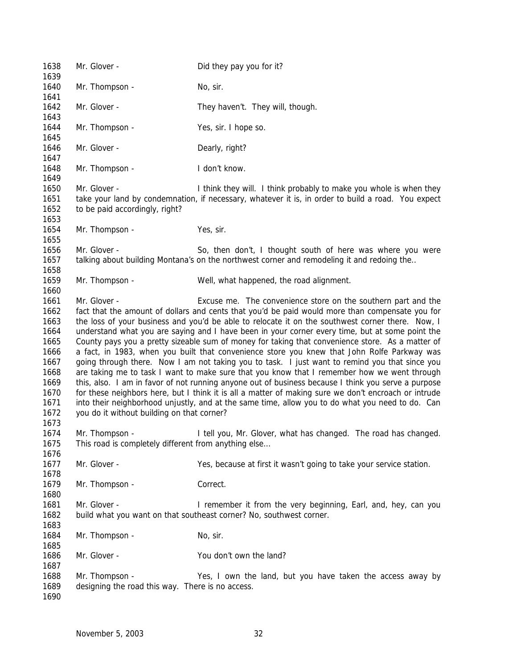Mr. Glover - Did they pay you for it? 1640 Mr. Thompson - No, sir. 1642 Mr. Glover - They haven't. They will, though. 1644 Mr. Thompson - Yes, sir. I hope so. 1646 Mr. Glover - Dearly, right? 1648 Mr. Thompson - I don't know. Mr. Glover - I think they will. I think probably to make you whole is when they take your land by condemnation, if necessary, whatever it is, in order to build a road. You expect to be paid accordingly, right? 1654 Mr. Thompson - Yes, sir. 1656 Mr. Glover - So, then don't, I thought south of here was where you were talking about building Montana's on the northwest corner and remodeling it and redoing the.. Mr. Thompson - Well, what happened, the road alignment. Mr. Glover - Excuse me. The convenience store on the southern part and the fact that the amount of dollars and cents that you'd be paid would more than compensate you for the loss of your business and you'd be able to relocate it on the southwest corner there. Now, I understand what you are saying and I have been in your corner every time, but at some point the County pays you a pretty sizeable sum of money for taking that convenience store. As a matter of a fact, in 1983, when you built that convenience store you knew that John Rolfe Parkway was going through there. Now I am not taking you to task. I just want to remind you that since you are taking me to task I want to make sure that you know that I remember how we went through this, also. I am in favor of not running anyone out of business because I think you serve a purpose for these neighbors here, but I think it is all a matter of making sure we don't encroach or intrude into their neighborhood unjustly, and at the same time, allow you to do what you need to do. Can you do it without building on that corner? Mr. Thompson - I tell you, Mr. Glover, what has changed. The road has changed. This road is completely different from anything else… Mr. Glover - Yes, because at first it wasn't going to take your service station. 1679 Mr. Thompson - Correct. 1681 Mr. Glover - I remember it from the very beginning, Earl, and, hey, can you build what you want on that southeast corner? No, southwest corner. 1684 Mr. Thompson - No. sir. 1686 Mr. Glover - You don't own the land? Mr. Thompson - Yes, I own the land, but you have taken the access away by designing the road this way. There is no access.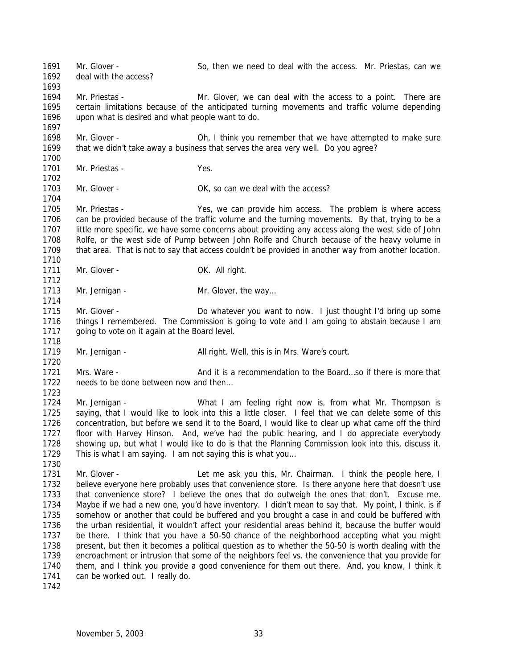1691 Mr. Glover - So, then we need to deal with the access. Mr. Priestas, can we deal with the access? Mr. Priestas - Mr. Glover, we can deal with the access to a point. There are certain limitations because of the anticipated turning movements and traffic volume depending upon what is desired and what people want to do. Mr. Glover - Oh, I think you remember that we have attempted to make sure that we didn't take away a business that serves the area very well. Do you agree? Mr. Priestas - Yes. 1703 Mr. Glover - Case Corresponding Corresponding OK, so can we deal with the access? Mr. Priestas - Yes, we can provide him access. The problem is where access can be provided because of the traffic volume and the turning movements. By that, trying to be a little more specific, we have some concerns about providing any access along the west side of John Rolfe, or the west side of Pump between John Rolfe and Church because of the heavy volume in that area. That is not to say that access couldn't be provided in another way from another location. 1711 Mr. Glover - OK. All right. 1713 Mr. Jernigan - Mr. Glover, the way... 1715 Mr. Glover - Do whatever you want to now. I just thought I'd bring up some things I remembered. The Commission is going to vote and I am going to abstain because I am 1717 going to vote on it again at the Board level. 1719 Mr. Jernigan - All right. Well, this is in Mrs. Ware's court. 1721 Mrs. Ware - And it is a recommendation to the Board...so if there is more that 1722 needs to be done between now and then... Mr. Jernigan - What I am feeling right now is, from what Mr. Thompson is saying, that I would like to look into this a little closer. I feel that we can delete some of this concentration, but before we send it to the Board, I would like to clear up what came off the third floor with Harvey Hinson. And, we've had the public hearing, and I do appreciate everybody showing up, but what I would like to do is that the Planning Commission look into this, discuss it. This is what I am saying. I am not saying this is what you… 1731 Mr. Glover - Let me ask you this, Mr. Chairman. I think the people here, I believe everyone here probably uses that convenience store. Is there anyone here that doesn't use that convenience store? I believe the ones that do outweigh the ones that don't. Excuse me. Maybe if we had a new one, you'd have inventory. I didn't mean to say that. My point, I think, is if somehow or another that could be buffered and you brought a case in and could be buffered with the urban residential, it wouldn't affect your residential areas behind it, because the buffer would be there. I think that you have a 50-50 chance of the neighborhood accepting what you might present, but then it becomes a political question as to whether the 50-50 is worth dealing with the encroachment or intrusion that some of the neighbors feel vs. the convenience that you provide for them, and I think you provide a good convenience for them out there. And, you know, I think it can be worked out. I really do.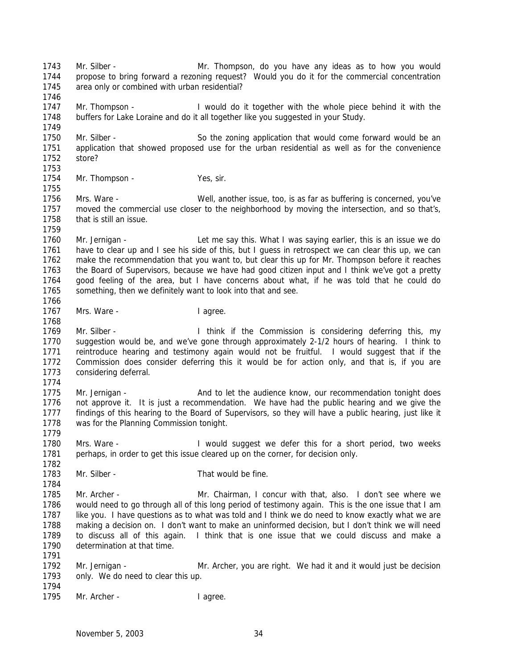1750 Mr. Silber - So the zoning application that would come forward would be an application that showed proposed use for the urban residential as well as for the convenience store? Mr. Thompson - Yes, sir. Mrs. Ware - Well, another issue, too, is as far as buffering is concerned, you've moved the commercial use closer to the neighborhood by moving the intersection, and so that's, that is still an issue. Mr. Jernigan - Let me say this. What I was saying earlier, this is an issue we do have to clear up and I see his side of this, but I guess in retrospect we can clear this up, we can make the recommendation that you want to, but clear this up for Mr. Thompson before it reaches the Board of Supervisors, because we have had good citizen input and I think we've got a pretty good feeling of the area, but I have concerns about what, if he was told that he could do something, then we definitely want to look into that and see. 1767 Mrs. Ware - I agree. Mr. Silber - I think if the Commission is considering deferring this, my suggestion would be, and we've gone through approximately 2-1/2 hours of hearing. I think to reintroduce hearing and testimony again would not be fruitful. I would suggest that if the Commission does consider deferring this it would be for action only, and that is, if you are considering deferral. 1775 Mr. Jernigan - And to let the audience know, our recommendation tonight does not approve it. It is just a recommendation. We have had the public hearing and we give the findings of this hearing to the Board of Supervisors, so they will have a public hearing, just like it was for the Planning Commission tonight. 1780 Mrs. Ware - I would suggest we defer this for a short period, two weeks perhaps, in order to get this issue cleared up on the corner, for decision only. 1783 Mr. Silber - That would be fine. Mr. Archer - Mr. Chairman, I concur with that, also. I don't see where we would need to go through all of this long period of testimony again. This is the one issue that I am like you. I have questions as to what was told and I think we do need to know exactly what we are making a decision on. I don't want to make an uninformed decision, but I don't think we will need to discuss all of this again. I think that is one issue that we could discuss and make a determination at that time. Mr. Jernigan - Mr. Archer, you are right. We had it and it would just be decision 1793 only. We do need to clear this up. 1795 Mr. Archer - I agree.

 Mr. Silber - Mr. Thompson, do you have any ideas as to how you would propose to bring forward a rezoning request? Would you do it for the commercial concentration

Mr. Thompson - I would do it together with the whole piece behind it with the

buffers for Lake Loraine and do it all together like you suggested in your Study.

area only or combined with urban residential?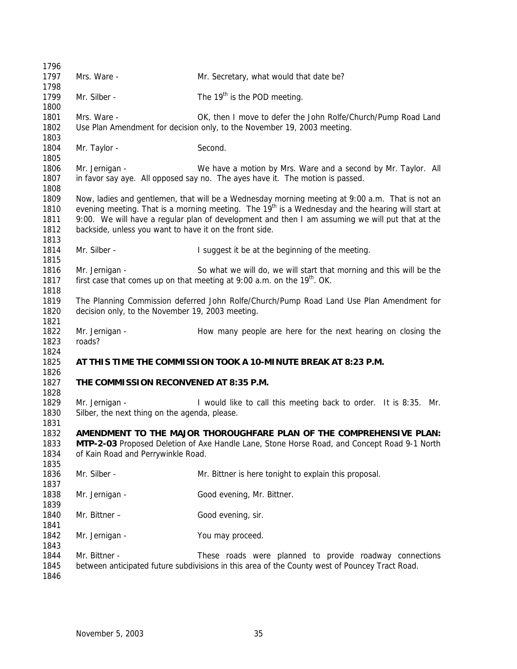| 1796                                 |                                                                                                                                                                                                                                                                                                                                                                                |                                                                                                                                                            |  |  |  |  |  |  |  |
|--------------------------------------|--------------------------------------------------------------------------------------------------------------------------------------------------------------------------------------------------------------------------------------------------------------------------------------------------------------------------------------------------------------------------------|------------------------------------------------------------------------------------------------------------------------------------------------------------|--|--|--|--|--|--|--|
| 1797                                 | Mrs. Ware -                                                                                                                                                                                                                                                                                                                                                                    | Mr. Secretary, what would that date be?                                                                                                                    |  |  |  |  |  |  |  |
| 1798<br>1799                         | Mr. Silber -                                                                                                                                                                                                                                                                                                                                                                   | The 19 <sup>th</sup> is the POD meeting.                                                                                                                   |  |  |  |  |  |  |  |
| 1800<br>1801<br>1802                 | Mrs. Ware -<br>OK, then I move to defer the John Rolfe/Church/Pump Road Land<br>Use Plan Amendment for decision only, to the November 19, 2003 meeting.                                                                                                                                                                                                                        |                                                                                                                                                            |  |  |  |  |  |  |  |
| 1803<br>1804<br>1805                 | Mr. Taylor -                                                                                                                                                                                                                                                                                                                                                                   | Second.                                                                                                                                                    |  |  |  |  |  |  |  |
| 1806<br>1807<br>1808                 | Mr. Jernigan -                                                                                                                                                                                                                                                                                                                                                                 | We have a motion by Mrs. Ware and a second by Mr. Taylor. All<br>in favor say aye. All opposed say no. The ayes have it. The motion is passed.             |  |  |  |  |  |  |  |
| 1809<br>1810<br>1811<br>1812<br>1813 | Now, ladies and gentlemen, that will be a Wednesday morning meeting at 9:00 a.m. That is not an<br>evening meeting. That is a morning meeting. The 19 <sup>th</sup> is a Wednesday and the hearing will start at<br>9:00. We will have a regular plan of development and then I am assuming we will put that at the<br>backside, unless you want to have it on the front side. |                                                                                                                                                            |  |  |  |  |  |  |  |
| 1814<br>1815                         | Mr. Silber -                                                                                                                                                                                                                                                                                                                                                                   | I suggest it be at the beginning of the meeting.                                                                                                           |  |  |  |  |  |  |  |
| 1816<br>1817                         | Mr. Jernigan -                                                                                                                                                                                                                                                                                                                                                                 | So what we will do, we will start that morning and this will be the<br>first case that comes up on that meeting at 9:00 a.m. on the 19 <sup>th</sup> . OK. |  |  |  |  |  |  |  |
| 1818<br>1819<br>1820<br>1821         | The Planning Commission deferred John Rolfe/Church/Pump Road Land Use Plan Amendment for<br>decision only, to the November 19, 2003 meeting.                                                                                                                                                                                                                                   |                                                                                                                                                            |  |  |  |  |  |  |  |
| 1822<br>1823                         | Mr. Jernigan -<br>roads?                                                                                                                                                                                                                                                                                                                                                       | How many people are here for the next hearing on closing the                                                                                               |  |  |  |  |  |  |  |
| 1824<br>1825<br>1826                 |                                                                                                                                                                                                                                                                                                                                                                                | AT THIS TIME THE COMMISSION TOOK A 10-MINUTE BREAK AT 8:23 P.M.                                                                                            |  |  |  |  |  |  |  |
| 1827<br>1828                         | THE COMMISSION RECONVENED AT 8:35 P.M.                                                                                                                                                                                                                                                                                                                                         |                                                                                                                                                            |  |  |  |  |  |  |  |
| 1829<br>1830                         | Mr. Jernigan -<br>Silber, the next thing on the agenda, please.                                                                                                                                                                                                                                                                                                                | I would like to call this meeting back to order. It is 8:35. Mr.                                                                                           |  |  |  |  |  |  |  |
| 1831<br>1832<br>1833<br>1834         | AMENDMENT TO THE MAJOR THOROUGHFARE PLAN OF THE COMPREHENSIVE PLAN:<br>MTP-2-03 Proposed Deletion of Axe Handle Lane, Stone Horse Road, and Concept Road 9-1 North<br>of Kain Road and Perrywinkle Road.                                                                                                                                                                       |                                                                                                                                                            |  |  |  |  |  |  |  |
| 1835<br>1836<br>1837                 | Mr. Silber -                                                                                                                                                                                                                                                                                                                                                                   | Mr. Bittner is here tonight to explain this proposal.                                                                                                      |  |  |  |  |  |  |  |
| 1838<br>1839                         | Mr. Jernigan -                                                                                                                                                                                                                                                                                                                                                                 | Good evening, Mr. Bittner.                                                                                                                                 |  |  |  |  |  |  |  |
| 1840<br>1841                         | Mr. Bittner -                                                                                                                                                                                                                                                                                                                                                                  | Good evening, sir.                                                                                                                                         |  |  |  |  |  |  |  |
| 1842<br>1843                         | Mr. Jernigan -                                                                                                                                                                                                                                                                                                                                                                 | You may proceed.                                                                                                                                           |  |  |  |  |  |  |  |
| 1844<br>1845<br>1846                 | Mr. Bittner -                                                                                                                                                                                                                                                                                                                                                                  | These roads were planned to provide roadway connections<br>between anticipated future subdivisions in this area of the County west of Pouncey Tract Road.  |  |  |  |  |  |  |  |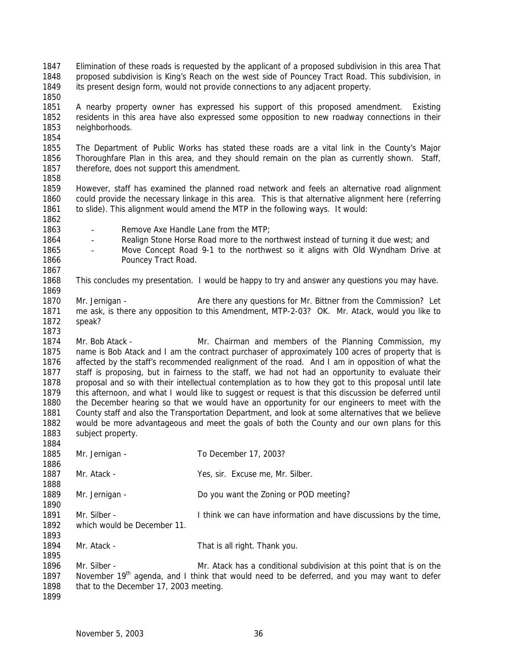Elimination of these roads is requested by the applicant of a proposed subdivision in this area That proposed subdivision is King's Reach on the west side of Pouncey Tract Road. This subdivision, in its present design form, would not provide connections to any adjacent property. 

- A nearby property owner has expressed his support of this proposed amendment. Existing residents in this area have also expressed some opposition to new roadway connections in their neighborhoods.
- The Department of Public Works has stated these roads are a vital link in the County's Major Thoroughfare Plan in this area, and they should remain on the plan as currently shown. Staff, therefore, does not support this amendment.
- 
- However, staff has examined the planned road network and feels an alternative road alignment could provide the necessary linkage in this area. This is that alternative alignment here (referring to slide). This alignment would amend the MTP in the following ways. It would:
- 

- Remove Axe Handle Lane from the MTP;
- 1864 Realign Stone Horse Road more to the northwest instead of turning it due west; and
- Move Concept Road 9-1 to the northwest so it aligns with Old Wyndham Drive at **Pouncey Tract Road.**
- This concludes my presentation. I would be happy to try and answer any questions you may have.
- 1870 Mr. Jernigan Are there any questions for Mr. Bittner from the Commission? Let me ask, is there any opposition to this Amendment, MTP-2-03? OK. Mr. Atack, would you like to speak?
- Mr. Bob Atack Mr. Chairman and members of the Planning Commission, my name is Bob Atack and I am the contract purchaser of approximately 100 acres of property that is affected by the staff's recommended realignment of the road. And I am in opposition of what the staff is proposing, but in fairness to the staff, we had not had an opportunity to evaluate their proposal and so with their intellectual contemplation as to how they got to this proposal until late this afternoon, and what I would like to suggest or request is that this discussion be deferred until the December hearing so that we would have an opportunity for our engineers to meet with the County staff and also the Transportation Department, and look at some alternatives that we believe would be more advantageous and meet the goals of both the County and our own plans for this 1883 subject property.
- 1885 Mr. Jernigan - To December 17, 2003? 1887 Mr. Atack - Yes, sir. Excuse me, Mr. Silber. Mr. Jernigan - Do you want the Zoning or POD meeting? Mr. Silber - I think we can have information and have discussions by the time, which would be December 11. 1894 Mr. Atack - That is all right. Thank you. Mr. Silber - Mr. Atack has a conditional subdivision at this point that is on the 1897 November 19<sup>th</sup> agenda, and I think that would need to be deferred, and you may want to defer that to the December 17, 2003 meeting.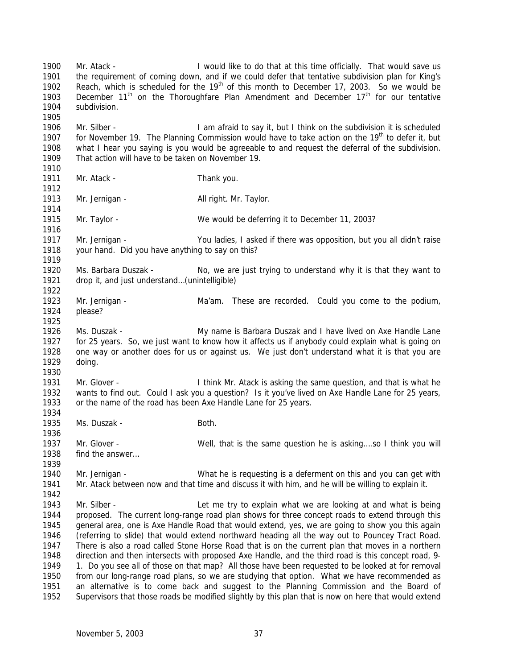Mr. Atack - I would like to do that at this time officially. That would save us the requirement of coming down, and if we could defer that tentative subdivision plan for King's 1902 Reach, which is scheduled for the  $19<sup>th</sup>$  of this month to December 17, 2003. So we would be 1903 December  $11<sup>th</sup>$  on the Thoroughfare Plan Amendment and December  $17<sup>th</sup>$  for our tentative subdivision. Mr. Silber - I am afraid to say it, but I think on the subdivision it is scheduled 1907 for November 19. The Planning Commission would have to take action on the  $19<sup>th</sup>$  to defer it, but what I hear you saying is you would be agreeable to and request the deferral of the subdivision. That action will have to be taken on November 19. 1911 Mr. Atack - Thank you. 1913 Mr. Jernigan - All right. Mr. Taylor. Mr. Taylor - We would be deferring it to December 11, 2003? Mr. Jernigan - You ladies, I asked if there was opposition, but you all didn't raise your hand. Did you have anything to say on this? Ms. Barbara Duszak - No, we are just trying to understand why it is that they want to drop it, and just understand…(unintelligible) Mr. Jernigan - Ma'am. These are recorded. Could you come to the podium, please? Ms. Duszak - My name is Barbara Duszak and I have lived on Axe Handle Lane for 25 years. So, we just want to know how it affects us if anybody could explain what is going on one way or another does for us or against us. We just don't understand what it is that you are doing. Mr. Glover - I think Mr. Atack is asking the same question, and that is what he wants to find out. Could I ask you a question? Is it you've lived on Axe Handle Lane for 25 years, or the name of the road has been Axe Handle Lane for 25 years. 1935 Ms. Duszak - **Both.**  Mr. Glover - Well, that is the same question he is asking….so I think you will find the answer… Mr. Jernigan - What he is requesting is a deferment on this and you can get with Mr. Atack between now and that time and discuss it with him, and he will be willing to explain it. 1943 Mr. Silber - Let me try to explain what we are looking at and what is being proposed. The current long-range road plan shows for three concept roads to extend through this general area, one is Axe Handle Road that would extend, yes, we are going to show you this again (referring to slide) that would extend northward heading all the way out to Pouncey Tract Road. There is also a road called Stone Horse Road that is on the current plan that moves in a northern direction and then intersects with proposed Axe Handle, and the third road is this concept road, 9- 1. Do you see all of those on that map? All those have been requested to be looked at for removal from our long-range road plans, so we are studying that option. What we have recommended as an alternative is to come back and suggest to the Planning Commission and the Board of Supervisors that those roads be modified slightly by this plan that is now on here that would extend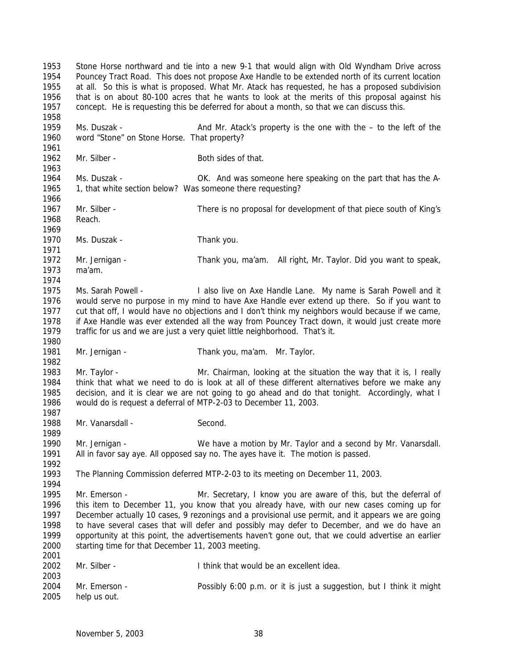Stone Horse northward and tie into a new 9-1 that would align with Old Wyndham Drive across Pouncey Tract Road. This does not propose Axe Handle to be extended north of its current location at all. So this is what is proposed. What Mr. Atack has requested, he has a proposed subdivision that is on about 80-100 acres that he wants to look at the merits of this proposal against his concept. He is requesting this be deferred for about a month, so that we can discuss this. Ms. Duszak - And Mr. Atack's property is the one with the – to the left of the word "Stone" on Stone Horse. That property? 1962 Mr. Silber - Both sides of that. Ms. Duszak - OK. And was someone here speaking on the part that has the A-1965 1, that white section below? Was someone there requesting? Mr. Silber - There is no proposal for development of that piece south of King's Reach. 1970 Ms. Duszak - Thank you. Mr. Jernigan - Thank you, ma'am. All right, Mr. Taylor. Did you want to speak, ma'am. Ms. Sarah Powell - I also live on Axe Handle Lane. My name is Sarah Powell and it would serve no purpose in my mind to have Axe Handle ever extend up there. So if you want to cut that off, I would have no objections and I don't think my neighbors would because if we came, if Axe Handle was ever extended all the way from Pouncey Tract down, it would just create more traffic for us and we are just a very quiet little neighborhood. That's it. Mr. Jernigan - Thank you, ma'am. Mr. Taylor. Mr. Taylor - Mr. Chairman, looking at the situation the way that it is, I really think that what we need to do is look at all of these different alternatives before we make any decision, and it is clear we are not going to go ahead and do that tonight. Accordingly, what I would do is request a deferral of MTP-2-03 to December 11, 2003. 1988 Mr. Vanarsdall - Second. Mr. Jernigan - We have a motion by Mr. Taylor and a second by Mr. Vanarsdall. All in favor say aye. All opposed say no. The ayes have it. The motion is passed. The Planning Commission deferred MTP-2-03 to its meeting on December 11, 2003. Mr. Emerson - Mr. Secretary, I know you are aware of this, but the deferral of this item to December 11, you know that you already have, with our new cases coming up for December actually 10 cases, 9 rezonings and a provisional use permit, and it appears we are going to have several cases that will defer and possibly may defer to December, and we do have an opportunity at this point, the advertisements haven't gone out, that we could advertise an earlier starting time for that December 11, 2003 meeting. Mr. Silber - I think that would be an excellent idea. Mr. Emerson - Possibly 6:00 p.m. or it is just a suggestion, but I think it might help us out.